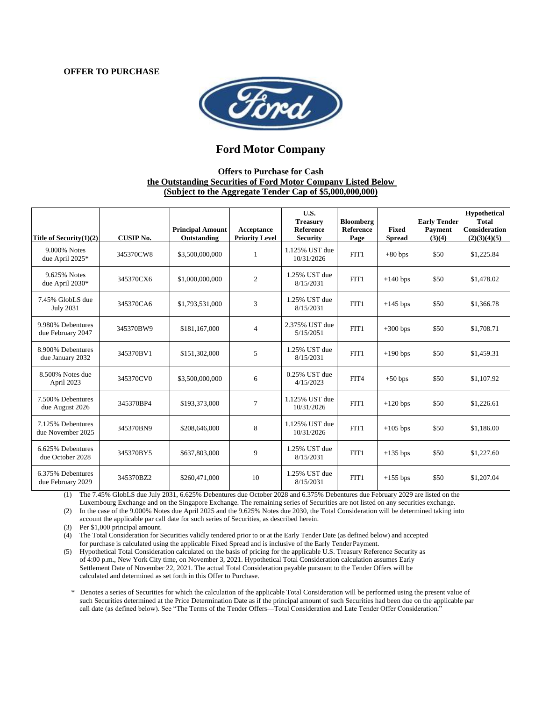#### **OFFER TO PURCHASE**



## **Ford Motor Company**

## **Offers to Purchase for Cash the Outstanding Securities of Ford Motor Company Listed Below (Subject to the Aggregate Tender Cap of \$5,000,000,000)**

| Title of Security $(1)(2)$             | <b>CUSIP No.</b> | <b>Principal Amount</b><br>Outstanding | Acceptance<br><b>Priority Level</b> | U.S.<br><b>Treasury</b><br>Reference<br><b>Security</b> | <b>Bloomberg</b><br>Reference<br>Page | <b>Fixed</b><br><b>Spread</b> | <b>Early Tender</b><br><b>Payment</b><br>(3)(4) | Hypothetical<br><b>Total</b><br>Consideration<br>(2)(3)(4)(5) |
|----------------------------------------|------------------|----------------------------------------|-------------------------------------|---------------------------------------------------------|---------------------------------------|-------------------------------|-------------------------------------------------|---------------------------------------------------------------|
| 9.000% Notes<br>due April 2025*        | 345370CW8        | \$3,500,000,000                        | $\mathbf{1}$                        | 1.125% UST due<br>10/31/2026                            | FIT1                                  | $+80$ bps                     | \$50                                            | \$1,225.84                                                    |
| 9.625% Notes<br>due April 2030*        | 345370CX6        | \$1,000,000,000                        | $\overline{2}$                      | 1.25% UST due<br>8/15/2031                              | FIT1                                  | $+140$ bps                    | \$50                                            | \$1,478.02                                                    |
| 7.45% GlobLS due<br><b>July 2031</b>   | 345370CA6        | \$1,793,531,000                        | 3                                   | 1.25% UST due<br>8/15/2031                              | FIT1                                  | $+145$ bps                    | \$50                                            | \$1,366.78                                                    |
| 9.980% Debentures<br>due February 2047 | 345370BW9        | \$181,167,000                          | $\overline{4}$                      | 2.375% UST due<br>5/15/2051                             | FIT1                                  | $+300$ bps                    | \$50                                            | \$1,708.71                                                    |
| 8.900% Debentures<br>due January 2032  | 345370BV1        | \$151,302,000                          | 5                                   | 1.25% UST due<br>8/15/2031                              | FIT1                                  | $+190$ bps                    | \$50                                            | \$1,459.31                                                    |
| 8.500% Notes due<br>April 2023         | 345370CV0        | \$3,500,000,000                        | 6                                   | 0.25% UST due<br>4/15/2023                              | FIT4                                  | $+50$ bps                     | \$50                                            | \$1,107.92                                                    |
| 7.500% Debentures<br>due August 2026   | 345370BP4        | \$193,373,000                          | 7                                   | 1.125% UST due<br>10/31/2026                            | FIT1                                  | $+120$ bps                    | \$50                                            | \$1,226.61                                                    |
| 7.125% Debentures<br>due November 2025 | 345370BN9        | \$208,646,000                          | 8                                   | 1.125% UST due<br>10/31/2026                            | FIT1                                  | $+105$ bps                    | \$50                                            | \$1,186.00                                                    |
| 6.625% Debentures<br>due October 2028  | 345370BY5        | \$637,803,000                          | 9                                   | 1.25% UST due<br>8/15/2031                              | FIT1                                  | $+135$ bps                    | \$50                                            | \$1,227.60                                                    |
| 6.375% Debentures<br>due February 2029 | 345370BZ2        | \$260,471,000                          | 10                                  | 1.25% UST due<br>8/15/2031                              | FIT1                                  | $+155$ bps                    | \$50                                            | \$1,207.04                                                    |

(1) The 7.45% GlobLS due July 2031, 6.625% Debentures due October 2028 and 6.375% Debentures due February 2029 are listed on the Luxembourg Exchange and on the Singapore Exchange. The remaining series of Securities are not listed on any securities exchange.

(2) In the case of the 9.000% Notes due April 2025 and the 9.625% Notes due 2030, the Total Consideration will be determined taking into account the applicable par call date for such series of Securities, as described herein.

(3) Per \$1,000 principal amount.

(4) The Total Consideration for Securities validly tendered prior to or at the Early Tender Date (as defined below) and accepted for purchase is calculated using the applicable Fixed Spread and is inclusive of the Early Tender Payment.

(5) Hypothetical Total Consideration calculated on the basis of pricing for the applicable U.S. Treasury Reference Security as of 4:00 p.m., New York City time, on November 3, 2021. Hypothetical Total Consideration calculation assumes Early Settlement Date of November 22, 2021. The actual Total Consideration payable pursuant to the Tender Offers will be calculated and determined as set forth in this Offer to Purchase.

\* Denotes a series of Securities for which the calculation of the applicable Total Consideration will be performed using the present value of such Securities determined at the Price Determination Date as if the principal amount of such Securities had been due on the applicable par call date (as defined below). See "The Terms of the Tender Offers—Total Consideration and Late Tender Offer Consideration."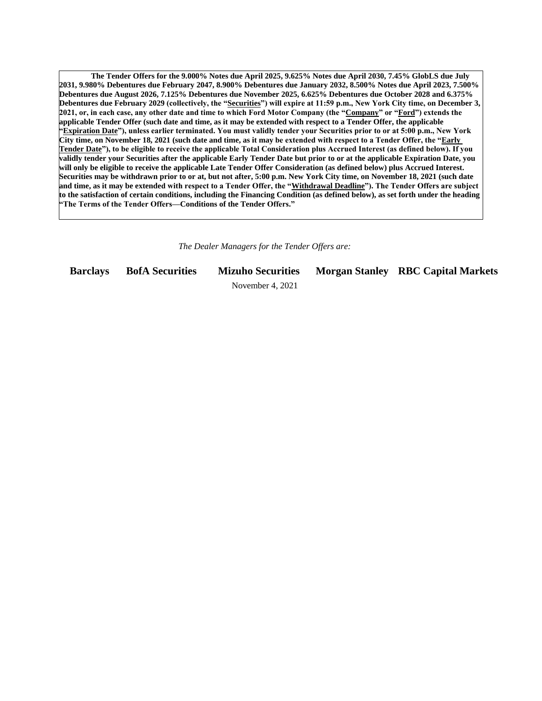**The Tender Offers for the 9.000% Notes due April 2025, 9.625% Notes due April 2030, 7.45% GlobLS due July 2031, 9.980% Debentures due February 2047, 8.900% Debentures due January 2032, 8.500% Notes due April 2023, 7.500% Debentures due August 2026, 7.125% Debentures due November 2025, 6.625% Debentures due October 2028 and 6.375% Debentures due February 2029 (collectively, the "Securities") will expire at 11:59 p.m., New York City time, on December 3, 2021, or, in each case, any other date and time to which Ford Motor Company (the "Company" or "Ford") extends the applicable Tender Offer (such date and time, as it may be extended with respect to a Tender Offer, the applicable "Expiration Date"), unless earlier terminated. You must validly tender your Securities prior to or at 5:00 p.m., New York City time, on November 18, 2021 (such date and time, as it may be extended with respect to a Tender Offer, the "Early Tender Date"), to be eligible to receive the applicable Total Consideration plus Accrued Interest (as defined below). If you validly tender your Securities after the applicable Early Tender Date but prior to or at the applicable Expiration Date, you will only be eligible to receive the applicable Late Tender Offer Consideration (as defined below) plus Accrued Interest. Securities may be withdrawn prior to or at, but not after, 5:00 p.m. New York City time, on November 18, 2021 (such date and time, as it may be extended with respect to a Tender Offer, the "Withdrawal Deadline"). The Tender Offers are subject to the satisfaction of certain conditions, including the Financing Condition (as defined below), as set forth under the heading "The Terms of the Tender Offers—Conditions of the Tender Offers."**

*The Dealer Managers for the Tender Offers are:*

**Barclays BofA Securities Mizuho Securities Morgan Stanley RBC Capital Markets**

November 4, 2021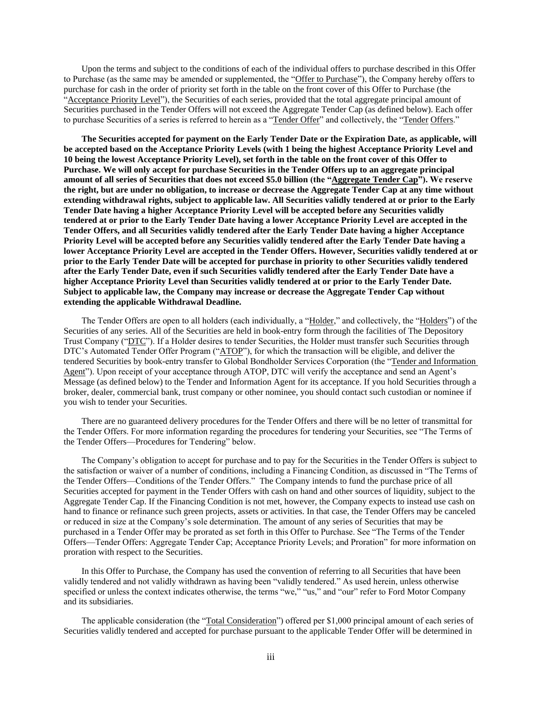Upon the terms and subject to the conditions of each of the individual offers to purchase described in this Offer to Purchase (as the same may be amended or supplemented, the "Offer to Purchase"), the Company hereby offers to purchase for cash in the order of priority set forth in the table on the front cover of this Offer to Purchase (the "Acceptance Priority Level"), the Securities of each series, provided that the total aggregate principal amount of Securities purchased in the Tender Offers will not exceed the Aggregate Tender Cap (as defined below). Each offer to purchase Securities of a series is referred to herein as a "Tender Offer" and collectively, the "Tender Offers."

**The Securities accepted for payment on the Early Tender Date or the Expiration Date, as applicable, will be accepted based on the Acceptance Priority Levels (with 1 being the highest Acceptance Priority Level and 10 being the lowest Acceptance Priority Level), set forth in the table on the front cover of this Offer to Purchase. We will only accept for purchase Securities in the Tender Offers up to an aggregate principal amount of all series of Securities that does not exceed \$5.0 billion (the "Aggregate Tender Cap"). We reserve the right, but are under no obligation, to increase or decrease the Aggregate Tender Cap at any time without extending withdrawal rights, subject to applicable law. All Securities validly tendered at or prior to the Early Tender Date having a higher Acceptance Priority Level will be accepted before any Securities validly tendered at or prior to the Early Tender Date having a lower Acceptance Priority Level are accepted in the Tender Offers, and all Securities validly tendered after the Early Tender Date having a higher Acceptance Priority Level will be accepted before any Securities validly tendered after the Early Tender Date having a lower Acceptance Priority Level are accepted in the Tender Offers. However, Securities validly tendered at or prior to the Early Tender Date will be accepted for purchase in priority to other Securities validly tendered after the Early Tender Date, even if such Securities validly tendered after the Early Tender Date have a higher Acceptance Priority Level than Securities validly tendered at or prior to the Early Tender Date. Subject to applicable law, the Company may increase or decrease the Aggregate Tender Cap without extending the applicable Withdrawal Deadline.**

The Tender Offers are open to all holders (each individually, a "Holder," and collectively, the "Holders") of the Securities of any series. All of the Securities are held in book-entry form through the facilities of The Depository Trust Company ("DTC"). If a Holder desires to tender Securities, the Holder must transfer such Securities through DTC's Automated Tender Offer Program ("ATOP"), for which the transaction will be eligible, and deliver the tendered Securities by book-entry transfer to Global Bondholder Services Corporation (the "Tender and Information Agent"). Upon receipt of your acceptance through ATOP, DTC will verify the acceptance and send an Agent's Message (as defined below) to the Tender and Information Agent for its acceptance. If you hold Securities through a broker, dealer, commercial bank, trust company or other nominee, you should contact such custodian or nominee if you wish to tender your Securities.

There are no guaranteed delivery procedures for the Tender Offers and there will be no letter of transmittal for the Tender Offers. For more information regarding the procedures for tendering your Securities, see "The Terms of the Tender Offers—Procedures for Tendering" below.

The Company's obligation to accept for purchase and to pay for the Securities in the Tender Offers is subject to the satisfaction or waiver of a number of conditions, including a Financing Condition, as discussed in "The Terms of the Tender Offers—Conditions of the Tender Offers." The Company intends to fund the purchase price of all Securities accepted for payment in the Tender Offers with cash on hand and other sources of liquidity, subject to the Aggregate Tender Cap. If the Financing Condition is not met, however, the Company expects to instead use cash on hand to finance or refinance such green projects, assets or activities. In that case, the Tender Offers may be canceled or reduced in size at the Company's sole determination. The amount of any series of Securities that may be purchased in a Tender Offer may be prorated as set forth in this Offer to Purchase. See "The Terms of the Tender Offers—Tender Offers: Aggregate Tender Cap; Acceptance Priority Levels; and Proration" for more information on proration with respect to the Securities.

In this Offer to Purchase, the Company has used the convention of referring to all Securities that have been validly tendered and not validly withdrawn as having been "validly tendered." As used herein, unless otherwise specified or unless the context indicates otherwise, the terms "we," "us," and "our" refer to Ford Motor Company and its subsidiaries.

The applicable consideration (the "Total Consideration") offered per \$1,000 principal amount of each series of Securities validly tendered and accepted for purchase pursuant to the applicable Tender Offer will be determined in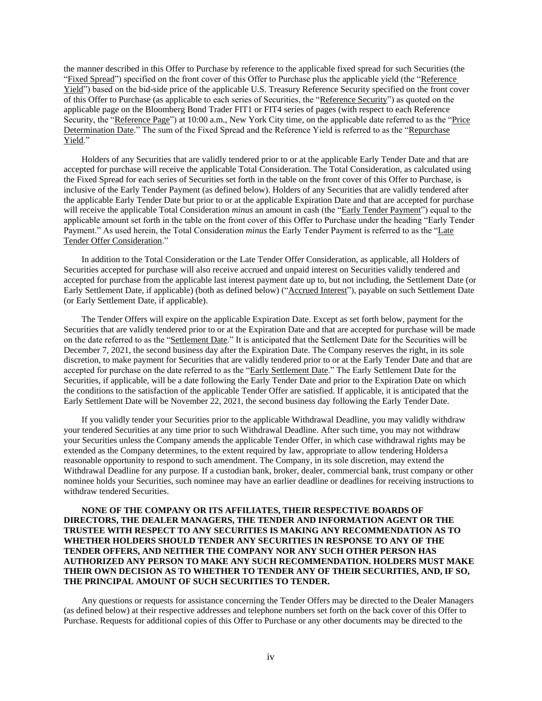the manner described in this Offer to Purchase by reference to the applicable fixed spread for such Securities (the "Fixed Spread") specified on the front cover of this Offer to Purchase plus the applicable yield (the "Reference Yield") based on the bid-side price of the applicable U.S. Treasury Reference Security specified on the front cover of this Offer to Purchase (as applicable to each series of Securities, the "Reference Security") as quoted on the applicable page on the Bloomberg Bond Trader FIT1 or FIT4 series of pages (with respect to each Reference Security, the "Reference Page") at 10:00 a.m., New York City time, on the applicable date referred to as the "Price Determination Date." The sum of the Fixed Spread and the Reference Yield is referred to as the "Repurchase Yield."

Holders of any Securities that are validly tendered prior to or at the applicable Early Tender Date and that are accepted for purchase will receive the applicable Total Consideration. The Total Consideration, as calculated using the Fixed Spread for each series of Securities set forth in the table on the front cover of this Offer to Purchase, is inclusive of the Early Tender Payment (as defined below). Holders of any Securities that are validly tendered after the applicable Early Tender Date but prior to or at the applicable Expiration Date and that are accepted for purchase will receive the applicable Total Consideration *minus* an amount in cash (the "Early Tender Payment") equal to the applicable amount set forth in the table on the front cover of this Offer to Purchase under the heading "Early Tender Payment." As used herein, the Total Consideration *minus* the Early Tender Payment is referred to as the "Late Tender Offer Consideration."

In addition to the Total Consideration or the Late Tender Offer Consideration, as applicable, all Holders of Securities accepted for purchase will also receive accrued and unpaid interest on Securities validly tendered and accepted for purchase from the applicable last interest payment date up to, but not including, the Settlement Date (or Early Settlement Date, if applicable) (both as defined below) ("Accrued Interest"), payable on such Settlement Date (or Early Settlement Date, if applicable).

The Tender Offers will expire on the applicable Expiration Date. Except as set forth below, payment for the Securities that are validly tendered prior to or at the Expiration Date and that are accepted for purchase will be made on the date referred to as the "Settlement Date." It is anticipated that the Settlement Date for the Securities will be December 7, 2021, the second business day after the Expiration Date. The Company reserves the right, in its sole discretion, to make payment for Securities that are validly tendered prior to or at the Early Tender Date and that are accepted for purchase on the date referred to as the "Early Settlement Date." The Early Settlement Date for the Securities, if applicable, will be a date following the Early Tender Date and prior to the Expiration Date on which the conditions to the satisfaction of the applicable Tender Offer are satisfied. If applicable, it is anticipated that the Early Settlement Date will be November 22, 2021, the second business day following the Early Tender Date.

If you validly tender your Securities prior to the applicable Withdrawal Deadline, you may validly withdraw your tendered Securities at any time prior to such Withdrawal Deadline. After such time, you may not withdraw your Securities unless the Company amends the applicable Tender Offer, in which case withdrawal rights may be extended as the Company determines, to the extent required by law, appropriate to allow tendering Holdersa reasonable opportunity to respond to such amendment. The Company, in its sole discretion, may extend the Withdrawal Deadline for any purpose. If a custodian bank, broker, dealer, commercial bank, trust company or other nominee holds your Securities, such nominee may have an earlier deadline or deadlines for receiving instructions to withdraw tendered Securities.

## **NONE OF THE COMPANY OR ITS AFFILIATES, THEIR RESPECTIVE BOARDS OF DIRECTORS, THE DEALER MANAGERS, THE TENDER AND INFORMATION AGENT OR THE TRUSTEE WITH RESPECT TO ANY SECURITIES IS MAKING ANY RECOMMENDATION AS TO WHETHER HOLDERS SHOULD TENDER ANY SECURITIES IN RESPONSE TO ANY OF THE TENDER OFFERS, AND NEITHER THE COMPANY NOR ANY SUCH OTHER PERSON HAS AUTHORIZED ANY PERSON TO MAKE ANY SUCH RECOMMENDATION. HOLDERS MUST MAKE THEIR OWN DECISION AS TO WHETHER TO TENDER ANY OF THEIR SECURITIES, AND, IF SO, THE PRINCIPAL AMOUNT OF SUCH SECURITIES TO TENDER.**

Any questions or requests for assistance concerning the Tender Offers may be directed to the Dealer Managers (as defined below) at their respective addresses and telephone numbers set forth on the back cover of this Offer to Purchase. Requests for additional copies of this Offer to Purchase or any other documents may be directed to the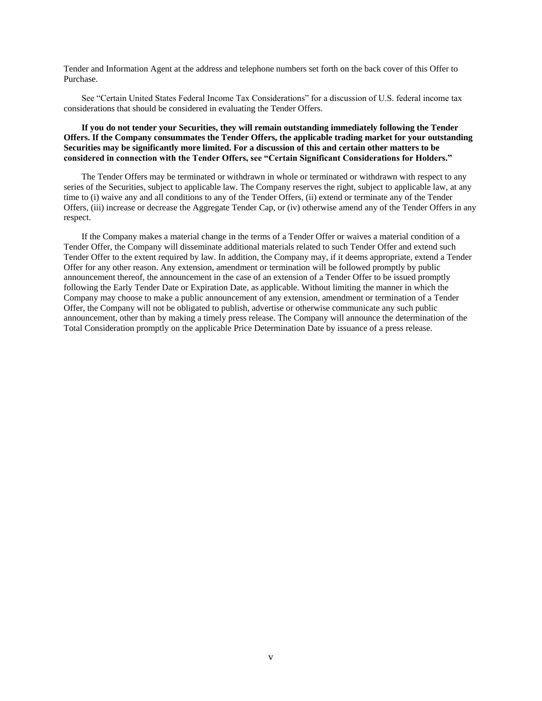Tender and Information Agent at the address and telephone numbers set forth on the back cover of this Offer to Purchase.

See "Certain United States Federal Income Tax Considerations" for a discussion of U.S. federal income tax considerations that should be considered in evaluating the Tender Offers.

## **If you do not tender your Securities, they will remain outstanding immediately following the Tender Offers. If the Company consummates the Tender Offers, the applicable trading market for your outstanding Securities may be significantly more limited. For a discussion of this and certain other matters to be considered in connection with the Tender Offers, see "Certain Significant Considerations for Holders."**

The Tender Offers may be terminated or withdrawn in whole or terminated or withdrawn with respect to any series of the Securities, subject to applicable law. The Company reserves the right, subject to applicable law, at any time to (i) waive any and all conditions to any of the Tender Offers, (ii) extend or terminate any of the Tender Offers, (iii) increase or decrease the Aggregate Tender Cap, or (iv) otherwise amend any of the Tender Offers in any respect.

If the Company makes a material change in the terms of a Tender Offer or waives a material condition of a Tender Offer, the Company will disseminate additional materials related to such Tender Offer and extend such Tender Offer to the extent required by law. In addition, the Company may, if it deems appropriate, extend a Tender Offer for any other reason. Any extension, amendment or termination will be followed promptly by public announcement thereof, the announcement in the case of an extension of a Tender Offer to be issued promptly following the Early Tender Date or Expiration Date, as applicable. Without limiting the manner in which the Company may choose to make a public announcement of any extension, amendment or termination of a Tender Offer, the Company will not be obligated to publish, advertise or otherwise communicate any such public announcement, other than by making a timely press release. The Company will announce the determination of the Total Consideration promptly on the applicable Price Determination Date by issuance of a press release.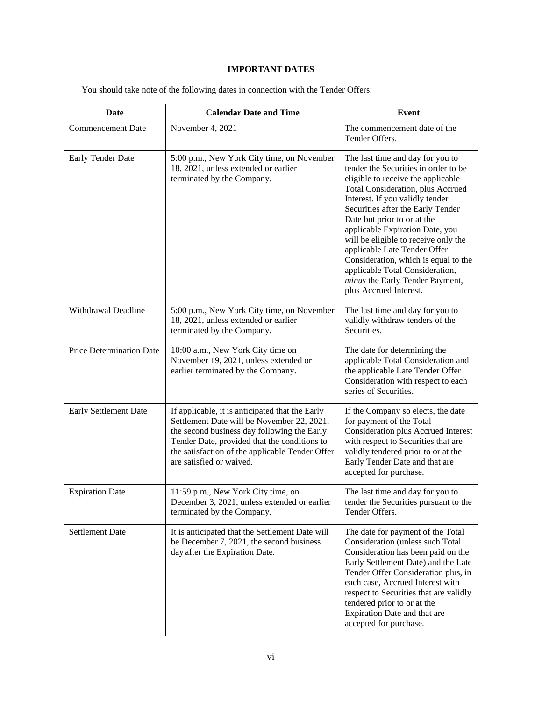## **IMPORTANT DATES**

| Date                     | <b>Calendar Date and Time</b>                                                                                                                                                                                                                                               | <b>Event</b>                                                                                                                                                                                                                                                                                                                                                                                                                                                                                                  |  |
|--------------------------|-----------------------------------------------------------------------------------------------------------------------------------------------------------------------------------------------------------------------------------------------------------------------------|---------------------------------------------------------------------------------------------------------------------------------------------------------------------------------------------------------------------------------------------------------------------------------------------------------------------------------------------------------------------------------------------------------------------------------------------------------------------------------------------------------------|--|
| <b>Commencement Date</b> | November 4, 2021                                                                                                                                                                                                                                                            | The commencement date of the<br>Tender Offers.                                                                                                                                                                                                                                                                                                                                                                                                                                                                |  |
| Early Tender Date        | 5:00 p.m., New York City time, on November<br>18, 2021, unless extended or earlier<br>terminated by the Company.                                                                                                                                                            | The last time and day for you to<br>tender the Securities in order to be<br>eligible to receive the applicable<br>Total Consideration, plus Accrued<br>Interest. If you validly tender<br>Securities after the Early Tender<br>Date but prior to or at the<br>applicable Expiration Date, you<br>will be eligible to receive only the<br>applicable Late Tender Offer<br>Consideration, which is equal to the<br>applicable Total Consideration,<br>minus the Early Tender Payment,<br>plus Accrued Interest. |  |
| Withdrawal Deadline      | 5:00 p.m., New York City time, on November<br>18, 2021, unless extended or earlier<br>terminated by the Company.                                                                                                                                                            | The last time and day for you to<br>validly withdraw tenders of the<br>Securities.                                                                                                                                                                                                                                                                                                                                                                                                                            |  |
| Price Determination Date | 10:00 a.m., New York City time on<br>November 19, 2021, unless extended or<br>earlier terminated by the Company.                                                                                                                                                            | The date for determining the<br>applicable Total Consideration and<br>the applicable Late Tender Offer<br>Consideration with respect to each<br>series of Securities.                                                                                                                                                                                                                                                                                                                                         |  |
| Early Settlement Date    | If applicable, it is anticipated that the Early<br>Settlement Date will be November 22, 2021,<br>the second business day following the Early<br>Tender Date, provided that the conditions to<br>the satisfaction of the applicable Tender Offer<br>are satisfied or waived. | If the Company so elects, the date<br>for payment of the Total<br>Consideration plus Accrued Interest<br>with respect to Securities that are<br>validly tendered prior to or at the<br>Early Tender Date and that are<br>accepted for purchase.                                                                                                                                                                                                                                                               |  |
| <b>Expiration Date</b>   | 11:59 p.m., New York City time, on<br>December 3, 2021, unless extended or earlier<br>terminated by the Company.                                                                                                                                                            | The last time and day for you to<br>tender the Securities pursuant to the<br>Tender Offers.                                                                                                                                                                                                                                                                                                                                                                                                                   |  |
| <b>Settlement Date</b>   | It is anticipated that the Settlement Date will<br>be December 7, 2021, the second business<br>day after the Expiration Date.                                                                                                                                               | The date for payment of the Total<br>Consideration (unless such Total<br>Consideration has been paid on the<br>Early Settlement Date) and the Late<br>Tender Offer Consideration plus, in<br>each case, Accrued Interest with<br>respect to Securities that are validly<br>tendered prior to or at the<br>Expiration Date and that are<br>accepted for purchase.                                                                                                                                              |  |

<span id="page-5-0"></span>You should take note of the following dates in connection with the Tender Offers: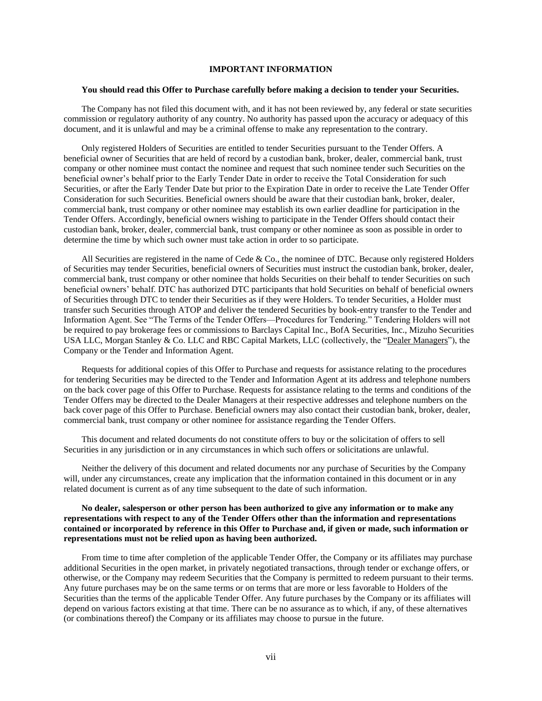## **IMPORTANT INFORMATION**

#### <span id="page-6-0"></span>**You should read this Offer to Purchase carefully before making a decision to tender your Securities.**

The Company has not filed this document with, and it has not been reviewed by, any federal or state securities commission or regulatory authority of any country. No authority has passed upon the accuracy or adequacy of this document, and it is unlawful and may be a criminal offense to make any representation to the contrary.

Only registered Holders of Securities are entitled to tender Securities pursuant to the Tender Offers. A beneficial owner of Securities that are held of record by a custodian bank, broker, dealer, commercial bank, trust company or other nominee must contact the nominee and request that such nominee tender such Securities on the beneficial owner's behalf prior to the Early Tender Date in order to receive the Total Consideration for such Securities, or after the Early Tender Date but prior to the Expiration Date in order to receive the Late Tender Offer Consideration for such Securities. Beneficial owners should be aware that their custodian bank, broker, dealer, commercial bank, trust company or other nominee may establish its own earlier deadline for participation in the Tender Offers. Accordingly, beneficial owners wishing to participate in the Tender Offers should contact their custodian bank, broker, dealer, commercial bank, trust company or other nominee as soon as possible in order to determine the time by which such owner must take action in order to so participate.

All Securities are registered in the name of Cede & Co., the nominee of DTC. Because only registered Holders of Securities may tender Securities, beneficial owners of Securities must instruct the custodian bank, broker, dealer, commercial bank, trust company or other nominee that holds Securities on their behalf to tender Securities on such beneficial owners' behalf. DTC has authorized DTC participants that hold Securities on behalf of beneficial owners of Securities through DTC to tender their Securities as if they were Holders. To tender Securities, a Holder must transfer such Securities through ATOP and deliver the tendered Securities by book-entry transfer to the Tender and Information Agent. See "The Terms of the Tender Offers—Procedures for Tendering." Tendering Holders will not be required to pay brokerage fees or commissions to Barclays Capital Inc., BofA Securities, Inc., Mizuho Securities USA LLC, Morgan Stanley & Co. LLC and RBC Capital Markets, LLC (collectively, the "Dealer Managers"), the Company or the Tender and Information Agent.

Requests for additional copies of this Offer to Purchase and requests for assistance relating to the procedures for tendering Securities may be directed to the Tender and Information Agent at its address and telephone numbers on the back cover page of this Offer to Purchase. Requests for assistance relating to the terms and conditions of the Tender Offers may be directed to the Dealer Managers at their respective addresses and telephone numbers on the back cover page of this Offer to Purchase. Beneficial owners may also contact their custodian bank, broker, dealer, commercial bank, trust company or other nominee for assistance regarding the Tender Offers.

This document and related documents do not constitute offers to buy or the solicitation of offers to sell Securities in any jurisdiction or in any circumstances in which such offers or solicitations are unlawful.

Neither the delivery of this document and related documents nor any purchase of Securities by the Company will, under any circumstances, create any implication that the information contained in this document or in any related document is current as of any time subsequent to the date of such information.

## **No dealer, salesperson or other person has been authorized to give any information or to make any representations with respect to any of the Tender Offers other than the information and representations contained or incorporated by reference in this Offer to Purchase and, if given or made, such information or representations must not be relied upon as having been authorized.**

From time to time after completion of the applicable Tender Offer, the Company or its affiliates may purchase additional Securities in the open market, in privately negotiated transactions, through tender or exchange offers, or otherwise, or the Company may redeem Securities that the Company is permitted to redeem pursuant to their terms. Any future purchases may be on the same terms or on terms that are more or less favorable to Holders of the Securities than the terms of the applicable Tender Offer. Any future purchases by the Company or its affiliates will depend on various factors existing at that time. There can be no assurance as to which, if any, of these alternatives (or combinations thereof) the Company or its affiliates may choose to pursue in the future.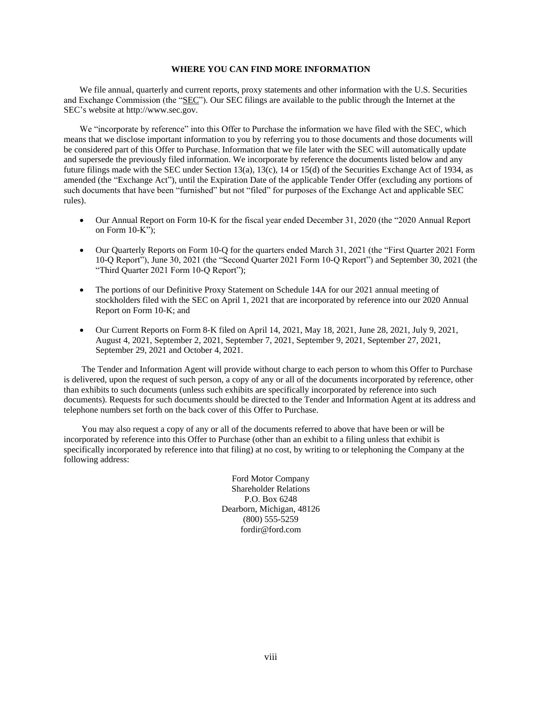## **WHERE YOU CAN FIND MORE INFORMATION**

<span id="page-7-0"></span>We file annual, quarterly and current reports, proxy statements and other information with the U.S. Securities and Exchange Commission (the "SEC"). Our SEC filings are available to the public through the Internet at the SEC's website at http://www.sec.gov.

We "incorporate by reference" into this Offer to Purchase the information we have filed with the SEC, which means that we disclose important information to you by referring you to those documents and those documents will be considered part of this Offer to Purchase. Information that we file later with the SEC will automatically update and supersede the previously filed information. We incorporate by reference the documents listed below and any future filings made with the SEC under Section 13(a), 13(c), 14 or 15(d) of the Securities Exchange Act of 1934, as amended (the "Exchange Act"), until the Expiration Date of the applicable Tender Offer (excluding any portions of such documents that have been "furnished" but not "filed" for purposes of the Exchange Act and applicable SEC rules).

- Our Annual Report on Form 10-K for the fiscal year ended December 31, 2020 (the "2020 Annual Report on Form 10-K");
- Our Quarterly Reports on Form 10-Q for the quarters ended March 31, 2021 (the "First Quarter 2021 Form 10-Q Report"), June 30, 2021 (the "Second Quarter 2021 Form 10-Q Report") and September 30, 2021 (the "Third Quarter 2021 Form 10-Q Report");
- The portions of our Definitive Proxy Statement on Schedule 14A for our 2021 annual meeting of stockholders filed with the SEC on April 1, 2021 that are incorporated by reference into our 2020 Annual Report on Form 10-K; and
- Our Current Reports on Form 8-K filed on April 14, 2021, May 18, 2021, June 28, 2021, July 9, 2021, August 4, 2021, September 2, 2021, September 7, 2021, September 9, 2021, September 27, 2021, September 29, 2021 and October 4, 2021.

The Tender and Information Agent will provide without charge to each person to whom this Offer to Purchase is delivered, upon the request of such person, a copy of any or all of the documents incorporated by reference, other than exhibits to such documents (unless such exhibits are specifically incorporated by reference into such documents). Requests for such documents should be directed to the Tender and Information Agent at its address and telephone numbers set forth on the back cover of this Offer to Purchase.

You may also request a copy of any or all of the documents referred to above that have been or will be incorporated by reference into this Offer to Purchase (other than an exhibit to a filing unless that exhibit is specifically incorporated by reference into that filing) at no cost, by writing to or telephoning the Company at the following address:

> Ford Motor Company Shareholder Relations P.O. Box 6248 Dearborn, Michigan, 48126 (800) 555-5259 fordir@ford.com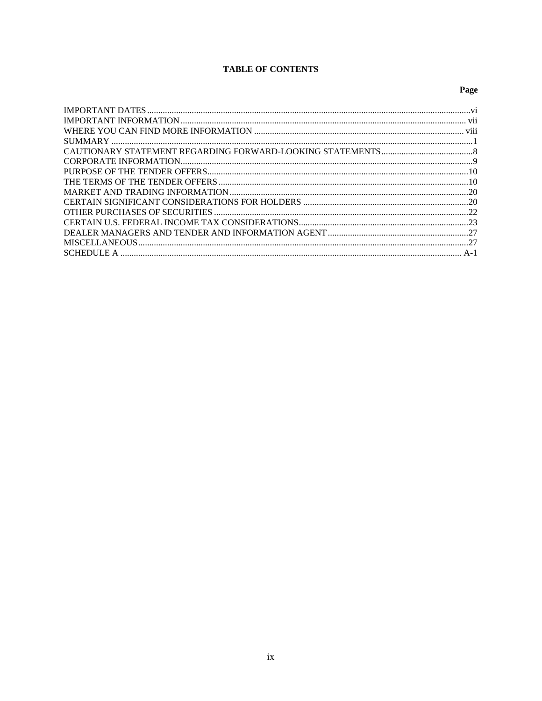# **TABLE OF CONTENTS**

## Page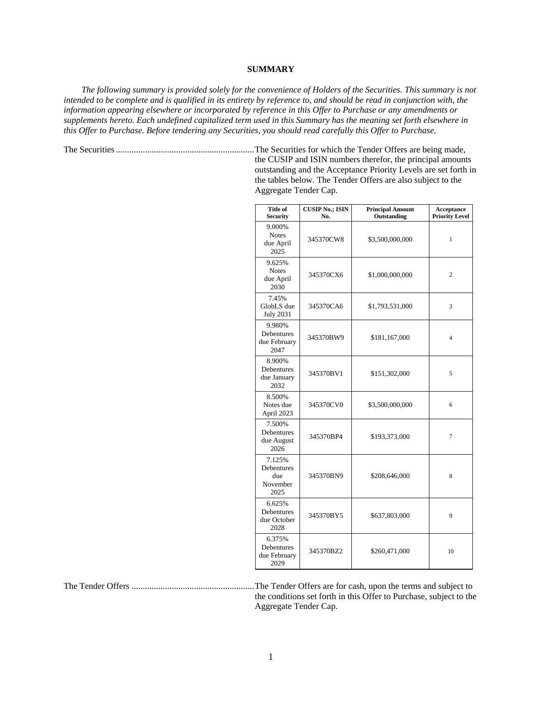## **SUMMARY**

<span id="page-9-0"></span>*The following summary is provided solely for the convenience of Holders of the Securities. This summary is not intended to be complete and is qualified in its entirety by reference to, and should be read in conjunction with, the information appearing elsewhere or incorporated by reference in this Offer to Purchase or any amendments or supplements hereto. Each undefined capitalized term used in this Summary has the meaning set forth elsewhere in this Offer to Purchase. Before tendering any Securities, you should read carefully this Offer to Purchase.*

The Securities..............................................................The Securities for which the Tender Offers are being made, the CUSIP and ISIN numbers therefor, the principal amounts outstanding and the Acceptance Priority Levels are set forth in the tables below. The Tender Offers are also subject to the Aggregate Tender Cap.

| <b>Title of</b><br><b>Security</b>              | <b>CUSIP No.; ISIN</b><br>No. | <b>Principal Amount</b><br>Outstanding | Acceptance<br><b>Priority Level</b> |
|-------------------------------------------------|-------------------------------|----------------------------------------|-------------------------------------|
| 9.000%<br><b>Notes</b><br>due April<br>2025     | 345370CW8                     | \$3,500,000,000                        | 1                                   |
| 9.625%<br><b>Notes</b><br>due April<br>2030     | 345370CX6                     | \$1,000,000,000                        | $\overline{c}$                      |
| 7.45%<br>GlobLS due<br><b>July 2031</b>         | 345370CA6                     | \$1,793,531,000                        | 3                                   |
| 9.980%<br>Debentures<br>due February<br>2047    | 345370BW9                     | \$181,167,000                          | 4                                   |
| 8.900%<br>Debentures<br>due January<br>2032     | 345370BV1                     | \$151,302,000                          | 5                                   |
| 8.500%<br>Notes due<br>April 2023               | 345370CV0                     | \$3,500,000,000                        | 6                                   |
| 7.500%<br>Debentures<br>due August<br>2026      | 345370BP4                     | \$193,373,000                          | 7                                   |
| 7.125%<br>Debentures<br>due<br>November<br>2025 | 345370BN9                     | \$208,646,000                          | 8                                   |
| 6.625%<br>Debentures<br>due October<br>2028     | 345370BY5                     | \$637,803,000                          | 9                                   |
| 6.375%<br>Debentures<br>due February<br>2029    | 345370BZ2                     | \$260,471,000                          | 10                                  |

The Tender Offers .......................................................The Tender Offers are for cash, upon the terms and subject to the conditions set forth in this Offer to Purchase, subject to the

Aggregate Tender Cap.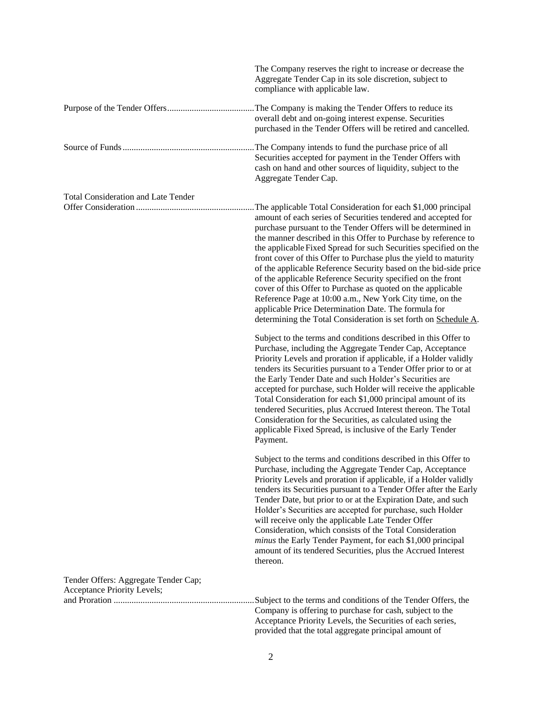|                                                                     | The Company reserves the right to increase or decrease the<br>Aggregate Tender Cap in its sole discretion, subject to<br>compliance with applicable law.                                                                                                                                                                                                                                                                                                                                                                                                                                                                                                                                                                                                                                          |
|---------------------------------------------------------------------|---------------------------------------------------------------------------------------------------------------------------------------------------------------------------------------------------------------------------------------------------------------------------------------------------------------------------------------------------------------------------------------------------------------------------------------------------------------------------------------------------------------------------------------------------------------------------------------------------------------------------------------------------------------------------------------------------------------------------------------------------------------------------------------------------|
|                                                                     | overall debt and on-going interest expense. Securities<br>purchased in the Tender Offers will be retired and cancelled.                                                                                                                                                                                                                                                                                                                                                                                                                                                                                                                                                                                                                                                                           |
|                                                                     | The Company intends to fund the purchase price of all<br>Securities accepted for payment in the Tender Offers with<br>cash on hand and other sources of liquidity, subject to the<br>Aggregate Tender Cap.                                                                                                                                                                                                                                                                                                                                                                                                                                                                                                                                                                                        |
| <b>Total Consideration and Late Tender</b>                          | The applicable Total Consideration for each \$1,000 principal<br>amount of each series of Securities tendered and accepted for<br>purchase pursuant to the Tender Offers will be determined in<br>the manner described in this Offer to Purchase by reference to<br>the applicable Fixed Spread for such Securities specified on the<br>front cover of this Offer to Purchase plus the yield to maturity<br>of the applicable Reference Security based on the bid-side price<br>of the applicable Reference Security specified on the front<br>cover of this Offer to Purchase as quoted on the applicable<br>Reference Page at 10:00 a.m., New York City time, on the<br>applicable Price Determination Date. The formula for<br>determining the Total Consideration is set forth on Schedule A. |
|                                                                     | Subject to the terms and conditions described in this Offer to<br>Purchase, including the Aggregate Tender Cap, Acceptance<br>Priority Levels and proration if applicable, if a Holder validly<br>tenders its Securities pursuant to a Tender Offer prior to or at<br>the Early Tender Date and such Holder's Securities are<br>accepted for purchase, such Holder will receive the applicable<br>Total Consideration for each \$1,000 principal amount of its<br>tendered Securities, plus Accrued Interest thereon. The Total<br>Consideration for the Securities, as calculated using the<br>applicable Fixed Spread, is inclusive of the Early Tender<br>Payment.                                                                                                                             |
|                                                                     | Subject to the terms and conditions described in this Offer to<br>Purchase, including the Aggregate Tender Cap, Acceptance<br>Priority Levels and proration if applicable, if a Holder validly<br>tenders its Securities pursuant to a Tender Offer after the Early<br>Tender Date, but prior to or at the Expiration Date, and such<br>Holder's Securities are accepted for purchase, such Holder<br>will receive only the applicable Late Tender Offer<br>Consideration, which consists of the Total Consideration<br>minus the Early Tender Payment, for each \$1,000 principal<br>amount of its tendered Securities, plus the Accrued Interest<br>thereon.                                                                                                                                    |
| Tender Offers: Aggregate Tender Cap;<br>Acceptance Priority Levels; | Subject to the terms and conditions of the Tender Offers, the<br>Company is offering to purchase for cash, subject to the<br>Acceptance Priority Levels, the Securities of each series,<br>provided that the total aggregate principal amount of                                                                                                                                                                                                                                                                                                                                                                                                                                                                                                                                                  |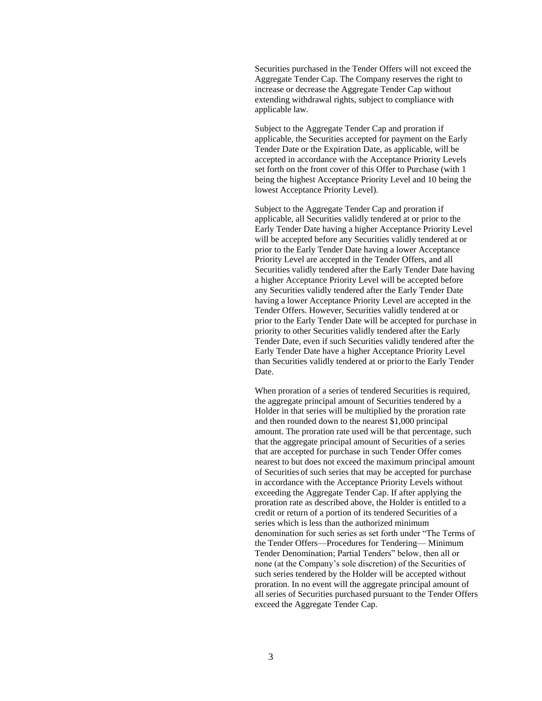Securities purchased in the Tender Offers will not exceed the Aggregate Tender Cap. The Company reserves the right to increase or decrease the Aggregate Tender Cap without extending withdrawal rights, subject to compliance with applicable law.

Subject to the Aggregate Tender Cap and proration if applicable, the Securities accepted for payment on the Early Tender Date or the Expiration Date, as applicable, will be accepted in accordance with the Acceptance Priority Levels set forth on the front cover of this Offer to Purchase (with 1 being the highest Acceptance Priority Level and 10 being the lowest Acceptance Priority Level).

Subject to the Aggregate Tender Cap and proration if applicable, all Securities validly tendered at or prior to the Early Tender Date having a higher Acceptance Priority Level will be accepted before any Securities validly tendered at or prior to the Early Tender Date having a lower Acceptance Priority Level are accepted in the Tender Offers, and all Securities validly tendered after the Early Tender Date having a higher Acceptance Priority Level will be accepted before any Securities validly tendered after the Early Tender Date having a lower Acceptance Priority Level are accepted in the Tender Offers. However, Securities validly tendered at or prior to the Early Tender Date will be accepted for purchase in priority to other Securities validly tendered after the Early Tender Date, even if such Securities validly tendered after the Early Tender Date have a higher Acceptance Priority Level than Securities validly tendered at or priorto the Early Tender Date.

When proration of a series of tendered Securities is required, the aggregate principal amount of Securities tendered by a Holder in that series will be multiplied by the proration rate and then rounded down to the nearest \$1,000 principal amount. The proration rate used will be that percentage, such that the aggregate principal amount of Securities of a series that are accepted for purchase in such Tender Offer comes nearest to but does not exceed the maximum principal amount of Securities of such series that may be accepted for purchase in accordance with the Acceptance Priority Levels without exceeding the Aggregate Tender Cap. If after applying the proration rate as described above, the Holder is entitled to a credit or return of a portion of its tendered Securities of a series which is less than the authorized minimum denomination for such series as set forth under "The Terms of the Tender Offers—Procedures for Tendering— Minimum Tender Denomination; Partial Tenders" below, then all or none (at the Company's sole discretion) of the Securities of such series tendered by the Holder will be accepted without proration. In no event will the aggregate principal amount of all series of Securities purchased pursuant to the Tender Offers exceed the Aggregate Tender Cap.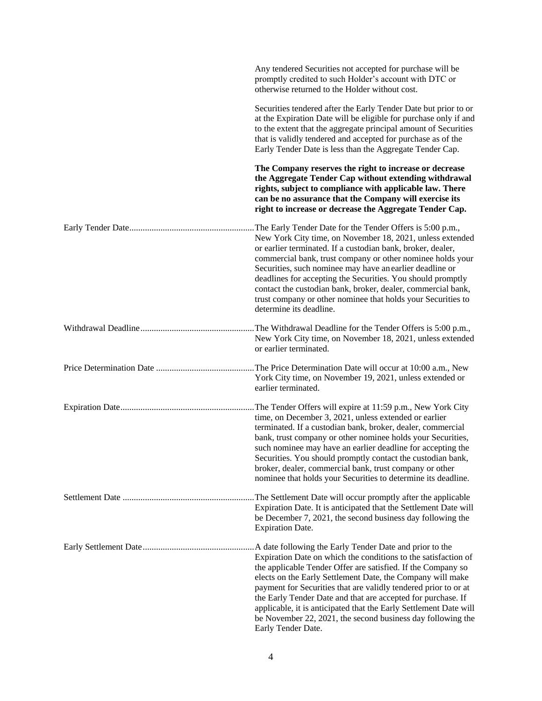| Any tendered Securities not accepted for purchase will be<br>promptly credited to such Holder's account with DTC or<br>otherwise returned to the Holder without cost.                                                                                                                                                                                                                                                                                                                                                                                |
|------------------------------------------------------------------------------------------------------------------------------------------------------------------------------------------------------------------------------------------------------------------------------------------------------------------------------------------------------------------------------------------------------------------------------------------------------------------------------------------------------------------------------------------------------|
| Securities tendered after the Early Tender Date but prior to or<br>at the Expiration Date will be eligible for purchase only if and<br>to the extent that the aggregate principal amount of Securities<br>that is validly tendered and accepted for purchase as of the<br>Early Tender Date is less than the Aggregate Tender Cap.                                                                                                                                                                                                                   |
| The Company reserves the right to increase or decrease<br>the Aggregate Tender Cap without extending withdrawal<br>rights, subject to compliance with applicable law. There<br>can be no assurance that the Company will exercise its<br>right to increase or decrease the Aggregate Tender Cap.                                                                                                                                                                                                                                                     |
| The Early Tender Date for the Tender Offers is 5:00 p.m.,<br>New York City time, on November 18, 2021, unless extended<br>or earlier terminated. If a custodian bank, broker, dealer,<br>commercial bank, trust company or other nominee holds your<br>Securities, such nominee may have an earlier deadline or<br>deadlines for accepting the Securities. You should promptly<br>contact the custodian bank, broker, dealer, commercial bank,<br>trust company or other nominee that holds your Securities to<br>determine its deadline.            |
| The Withdrawal Deadline for the Tender Offers is 5:00 p.m.,<br>New York City time, on November 18, 2021, unless extended<br>or earlier terminated.                                                                                                                                                                                                                                                                                                                                                                                                   |
| The Price Determination Date will occur at 10:00 a.m., New<br>York City time, on November 19, 2021, unless extended or<br>earlier terminated.                                                                                                                                                                                                                                                                                                                                                                                                        |
| The Tender Offers will expire at 11:59 p.m., New York City.<br>time, on December 3, 2021, unless extended or earlier<br>terminated. If a custodian bank, broker, dealer, commercial<br>bank, trust company or other nominee holds your Securities,<br>such nominee may have an earlier deadline for accepting the<br>Securities. You should promptly contact the custodian bank,<br>broker, dealer, commercial bank, trust company or other<br>nominee that holds your Securities to determine its deadline.                                         |
| . The Settlement Date will occur promptly after the applicable<br>Expiration Date. It is anticipated that the Settlement Date will<br>be December 7, 2021, the second business day following the<br><b>Expiration Date.</b>                                                                                                                                                                                                                                                                                                                          |
| A date following the Early Tender Date and prior to the<br>Expiration Date on which the conditions to the satisfaction of<br>the applicable Tender Offer are satisfied. If the Company so<br>elects on the Early Settlement Date, the Company will make<br>payment for Securities that are validly tendered prior to or at<br>the Early Tender Date and that are accepted for purchase. If<br>applicable, it is anticipated that the Early Settlement Date will<br>be November 22, 2021, the second business day following the<br>Early Tender Date. |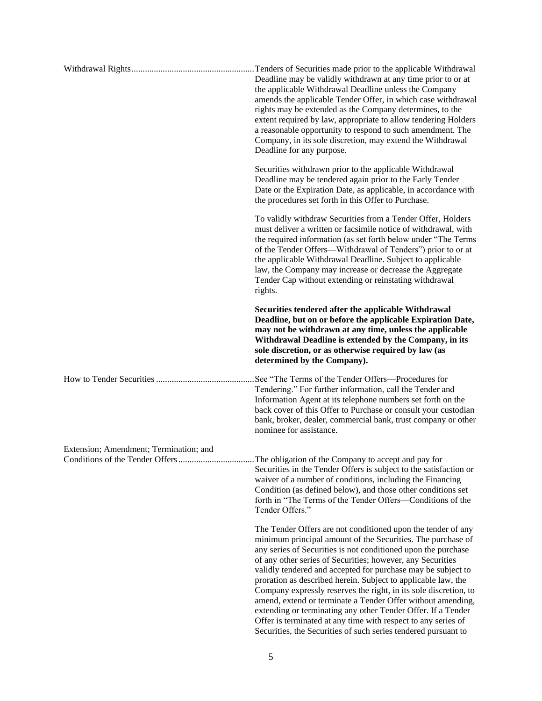|                                        | Tenders of Securities made prior to the applicable Withdrawal<br>Deadline may be validly withdrawn at any time prior to or at<br>the applicable Withdrawal Deadline unless the Company<br>amends the applicable Tender Offer, in which case withdrawal<br>rights may be extended as the Company determines, to the<br>extent required by law, appropriate to allow tendering Holders<br>a reasonable opportunity to respond to such amendment. The<br>Company, in its sole discretion, may extend the Withdrawal<br>Deadline for any purpose.                                                                                                                                                                                     |
|----------------------------------------|-----------------------------------------------------------------------------------------------------------------------------------------------------------------------------------------------------------------------------------------------------------------------------------------------------------------------------------------------------------------------------------------------------------------------------------------------------------------------------------------------------------------------------------------------------------------------------------------------------------------------------------------------------------------------------------------------------------------------------------|
|                                        | Securities withdrawn prior to the applicable Withdrawal<br>Deadline may be tendered again prior to the Early Tender<br>Date or the Expiration Date, as applicable, in accordance with<br>the procedures set forth in this Offer to Purchase.                                                                                                                                                                                                                                                                                                                                                                                                                                                                                      |
|                                        | To validly withdraw Securities from a Tender Offer, Holders<br>must deliver a written or facsimile notice of withdrawal, with<br>the required information (as set forth below under "The Terms"<br>of the Tender Offers—Withdrawal of Tenders") prior to or at<br>the applicable Withdrawal Deadline. Subject to applicable<br>law, the Company may increase or decrease the Aggregate<br>Tender Cap without extending or reinstating withdrawal<br>rights.                                                                                                                                                                                                                                                                       |
|                                        | Securities tendered after the applicable Withdrawal<br>Deadline, but on or before the applicable Expiration Date,<br>may not be withdrawn at any time, unless the applicable<br>Withdrawal Deadline is extended by the Company, in its<br>sole discretion, or as otherwise required by law (as<br>determined by the Company).                                                                                                                                                                                                                                                                                                                                                                                                     |
|                                        | See "The Terms of the Tender Offers-Procedures for<br>Tendering." For further information, call the Tender and<br>Information Agent at its telephone numbers set forth on the<br>back cover of this Offer to Purchase or consult your custodian<br>bank, broker, dealer, commercial bank, trust company or other<br>nominee for assistance.                                                                                                                                                                                                                                                                                                                                                                                       |
| Extension; Amendment; Termination; and | The obligation of the Company to accept and pay for<br>Securities in the Tender Offers is subject to the satisfaction or<br>waiver of a number of conditions, including the Financing<br>Condition (as defined below), and those other conditions set<br>forth in "The Terms of the Tender Offers-Conditions of the<br>Tender Offers."                                                                                                                                                                                                                                                                                                                                                                                            |
|                                        | The Tender Offers are not conditioned upon the tender of any<br>minimum principal amount of the Securities. The purchase of<br>any series of Securities is not conditioned upon the purchase<br>of any other series of Securities; however, any Securities<br>validly tendered and accepted for purchase may be subject to<br>proration as described herein. Subject to applicable law, the<br>Company expressly reserves the right, in its sole discretion, to<br>amend, extend or terminate a Tender Offer without amending,<br>extending or terminating any other Tender Offer. If a Tender<br>Offer is terminated at any time with respect to any series of<br>Securities, the Securities of such series tendered pursuant to |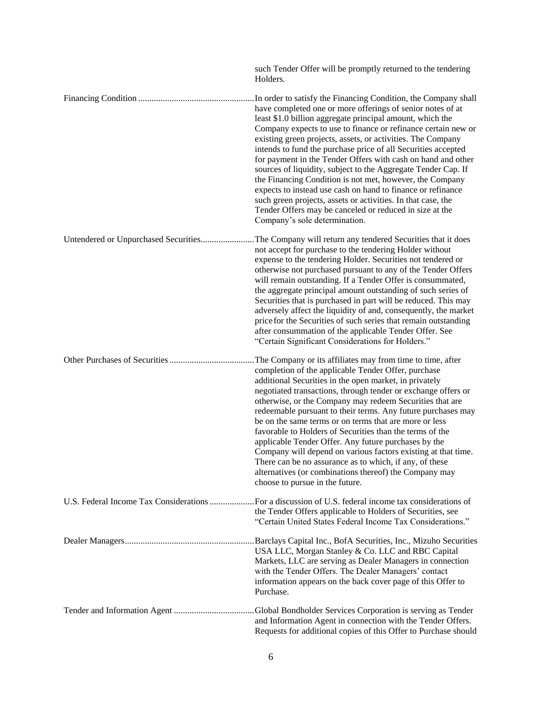|                                        | such Tender Offer will be promptly returned to the tendering<br>Holders.                                                                                                                                                                                                                                                                                                                                                                                                                                                                                                                                                                                                                                                                                                                                           |
|----------------------------------------|--------------------------------------------------------------------------------------------------------------------------------------------------------------------------------------------------------------------------------------------------------------------------------------------------------------------------------------------------------------------------------------------------------------------------------------------------------------------------------------------------------------------------------------------------------------------------------------------------------------------------------------------------------------------------------------------------------------------------------------------------------------------------------------------------------------------|
|                                        | In order to satisfy the Financing Condition, the Company shall<br>have completed one or more offerings of senior notes of at<br>least \$1.0 billion aggregate principal amount, which the<br>Company expects to use to finance or refinance certain new or<br>existing green projects, assets, or activities. The Company<br>intends to fund the purchase price of all Securities accepted<br>for payment in the Tender Offers with cash on hand and other<br>sources of liquidity, subject to the Aggregate Tender Cap. If<br>the Financing Condition is not met, however, the Company<br>expects to instead use cash on hand to finance or refinance<br>such green projects, assets or activities. In that case, the<br>Tender Offers may be canceled or reduced in size at the<br>Company's sole determination. |
| Untendered or Unpurchased Securities   | The Company will return any tendered Securities that it does<br>not accept for purchase to the tendering Holder without<br>expense to the tendering Holder. Securities not tendered or<br>otherwise not purchased pursuant to any of the Tender Offers<br>will remain outstanding. If a Tender Offer is consummated,<br>the aggregate principal amount outstanding of such series of<br>Securities that is purchased in part will be reduced. This may<br>adversely affect the liquidity of and, consequently, the market<br>price for the Securities of such series that remain outstanding<br>after consummation of the applicable Tender Offer. See<br>"Certain Significant Considerations for Holders."                                                                                                        |
|                                        | The Company or its affiliates may from time to time, after<br>completion of the applicable Tender Offer, purchase<br>additional Securities in the open market, in privately<br>negotiated transactions, through tender or exchange offers or<br>otherwise, or the Company may redeem Securities that are<br>redeemable pursuant to their terms. Any future purchases may<br>be on the same terms or on terms that are more or less<br>favorable to Holders of Securities than the terms of the<br>applicable Tender Offer. Any future purchases by the<br>Company will depend on various factors existing at that time.<br>There can be no assurance as to which, if any, of these<br>alternatives (or combinations thereof) the Company may<br>choose to pursue in the future.                                    |
| U.S. Federal Income Tax Considerations | For a discussion of U.S. federal income tax considerations of<br>the Tender Offers applicable to Holders of Securities, see<br>"Certain United States Federal Income Tax Considerations."                                                                                                                                                                                                                                                                                                                                                                                                                                                                                                                                                                                                                          |
|                                        | .Barclays Capital Inc., BofA Securities, Inc., Mizuho Securities<br>USA LLC, Morgan Stanley & Co. LLC and RBC Capital<br>Markets, LLC are serving as Dealer Managers in connection<br>with the Tender Offers. The Dealer Managers' contact<br>information appears on the back cover page of this Offer to<br>Purchase.                                                                                                                                                                                                                                                                                                                                                                                                                                                                                             |
|                                        | Global Bondholder Services Corporation is serving as Tender<br>and Information Agent in connection with the Tender Offers.<br>Requests for additional copies of this Offer to Purchase should                                                                                                                                                                                                                                                                                                                                                                                                                                                                                                                                                                                                                      |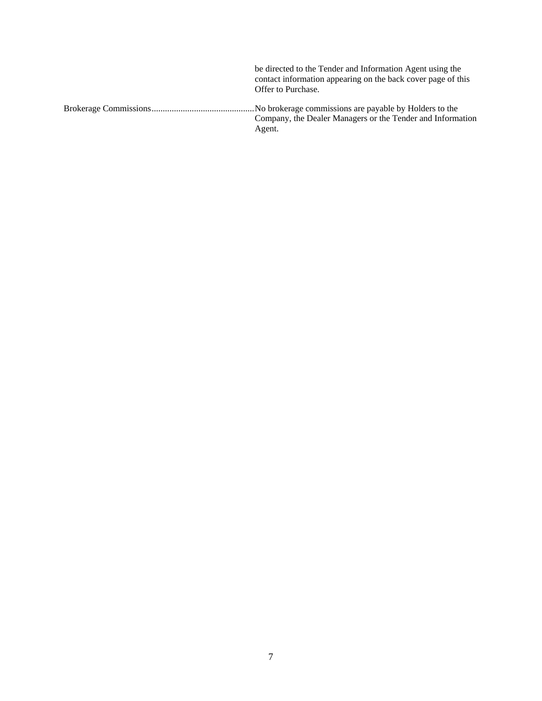| be directed to the Tender and Information Agent using the<br>contact information appearing on the back cover page of this<br>Offer to Purchase. |
|-------------------------------------------------------------------------------------------------------------------------------------------------|
| Company, the Dealer Managers or the Tender and Information<br>Agent.                                                                            |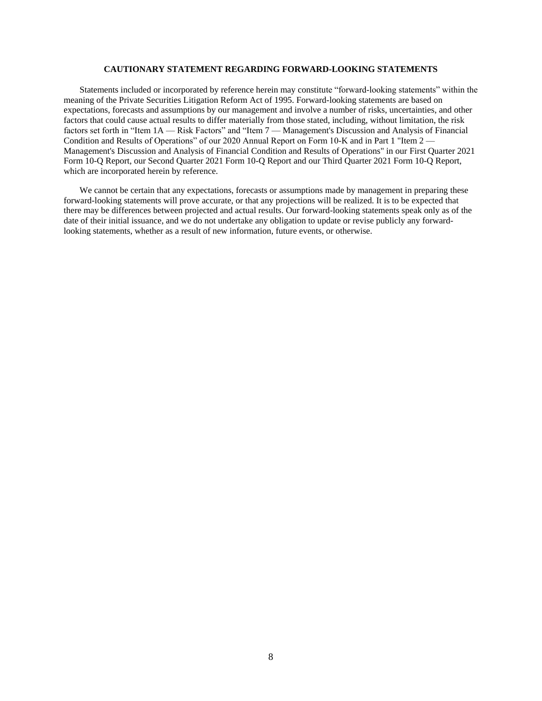## **CAUTIONARY STATEMENT REGARDING FORWARD-LOOKING STATEMENTS**

<span id="page-16-0"></span>Statements included or incorporated by reference herein may constitute "forward-looking statements" within the meaning of the Private Securities Litigation Reform Act of 1995. Forward-looking statements are based on expectations, forecasts and assumptions by our management and involve a number of risks, uncertainties, and other factors that could cause actual results to differ materially from those stated, including, without limitation, the risk factors set forth in "Item 1A — Risk Factors" and "Item 7 — Management's Discussion and Analysis of Financial Condition and Results of Operations" of our 2020 Annual Report on Form 10-K and in Part 1 "Item 2 — Management's Discussion and Analysis of Financial Condition and Results of Operations" in our First Quarter 2021 Form 10-Q Report, our Second Quarter 2021 Form 10-Q Report and our Third Quarter 2021 Form 10-Q Report, which are incorporated herein by reference.

We cannot be certain that any expectations, forecasts or assumptions made by management in preparing these forward-looking statements will prove accurate, or that any projections will be realized. It is to be expected that there may be differences between projected and actual results. Our forward-looking statements speak only as of the date of their initial issuance, and we do not undertake any obligation to update or revise publicly any forwardlooking statements, whether as a result of new information, future events, or otherwise.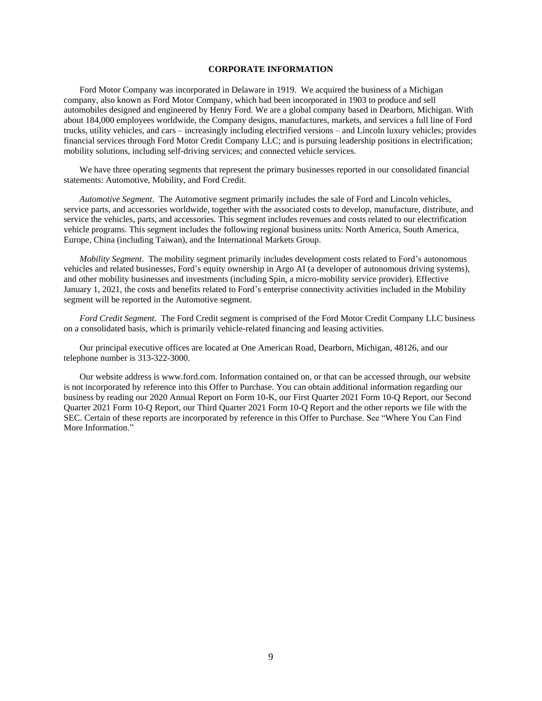## **CORPORATE INFORMATION**

<span id="page-17-0"></span>Ford Motor Company was incorporated in Delaware in 1919. We acquired the business of a Michigan company, also known as Ford Motor Company, which had been incorporated in 1903 to produce and sell automobiles designed and engineered by Henry Ford. We are a global company based in Dearborn, Michigan. With about 184,000 employees worldwide, the Company designs, manufactures, markets, and services a full line of Ford trucks, utility vehicles, and cars – increasingly including electrified versions – and Lincoln luxury vehicles; provides financial services through Ford Motor Credit Company LLC; and is pursuing leadership positions in electrification; mobility solutions, including self-driving services; and connected vehicle services.

We have three operating segments that represent the primary businesses reported in our consolidated financial statements: Automotive, Mobility, and Ford Credit.

*Automotive Segment*. The Automotive segment primarily includes the sale of Ford and Lincoln vehicles, service parts, and accessories worldwide, together with the associated costs to develop, manufacture, distribute, and service the vehicles, parts, and accessories. This segment includes revenues and costs related to our electrification vehicle programs. This segment includes the following regional business units: North America, South America, Europe, China (including Taiwan), and the International Markets Group.

*Mobility Segment*. The mobility segment primarily includes development costs related to Ford's autonomous vehicles and related businesses, Ford's equity ownership in Argo AI (a developer of autonomous driving systems), and other mobility businesses and investments (including Spin, a micro-mobility service provider). Effective January 1, 2021, the costs and benefits related to Ford's enterprise connectivity activities included in the Mobility segment will be reported in the Automotive segment.

*Ford Credit Segment*. The Ford Credit segment is comprised of the Ford Motor Credit Company LLC business on a consolidated basis, which is primarily vehicle-related financing and leasing activities.

Our principal executive offices are located at One American Road, Dearborn, Michigan, 48126, and our telephone number is 313-322-3000.

Our website address is www.ford.com. Information contained on, or that can be accessed through, our website is not incorporated by reference into this Offer to Purchase. You can obtain additional information regarding our business by reading our 2020 Annual Report on Form 10-K, our First Quarter 2021 Form 10-Q Report, our Second Quarter 2021 Form 10-Q Report, our Third Quarter 2021 Form 10-Q Report and the other reports we file with the SEC. Certain of these reports are incorporated by reference in this Offer to Purchase. See "Where You Can Find More Information."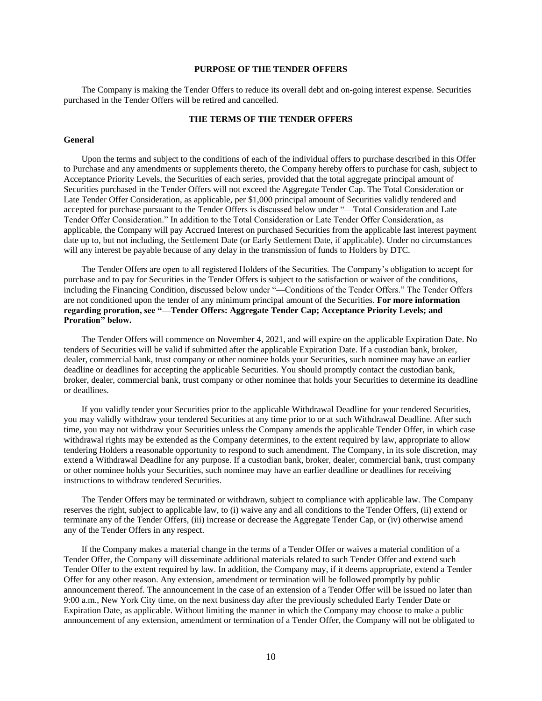## **PURPOSE OF THE TENDER OFFERS**

<span id="page-18-0"></span>The Company is making the Tender Offers to reduce its overall debt and on-going interest expense. Securities purchased in the Tender Offers will be retired and cancelled.

## **THE TERMS OF THE TENDER OFFERS**

#### <span id="page-18-1"></span>**General**

Upon the terms and subject to the conditions of each of the individual offers to purchase described in this Offer to Purchase and any amendments or supplements thereto, the Company hereby offers to purchase for cash, subject to Acceptance Priority Levels, the Securities of each series, provided that the total aggregate principal amount of Securities purchased in the Tender Offers will not exceed the Aggregate Tender Cap. The Total Consideration or Late Tender Offer Consideration, as applicable, per \$1,000 principal amount of Securities validly tendered and accepted for purchase pursuant to the Tender Offers is discussed below under "—Total Consideration and Late Tender Offer Consideration." In addition to the Total Consideration or Late Tender Offer Consideration, as applicable, the Company will pay Accrued Interest on purchased Securities from the applicable last interest payment date up to, but not including, the Settlement Date (or Early Settlement Date, if applicable). Under no circumstances will any interest be payable because of any delay in the transmission of funds to Holders by DTC.

The Tender Offers are open to all registered Holders of the Securities. The Company's obligation to accept for purchase and to pay for Securities in the Tender Offers is subject to the satisfaction or waiver of the conditions, including the Financing Condition, discussed below under "—Conditions of the Tender Offers." The Tender Offers are not conditioned upon the tender of any minimum principal amount of the Securities. **For more information regarding proration, see "—Tender Offers: Aggregate Tender Cap; Acceptance Priority Levels; and Proration" below.**

The Tender Offers will commence on November 4, 2021, and will expire on the applicable Expiration Date. No tenders of Securities will be valid if submitted after the applicable Expiration Date. If a custodian bank, broker, dealer, commercial bank, trust company or other nominee holds your Securities, such nominee may have an earlier deadline or deadlines for accepting the applicable Securities. You should promptly contact the custodian bank, broker, dealer, commercial bank, trust company or other nominee that holds your Securities to determine its deadline or deadlines.

If you validly tender your Securities prior to the applicable Withdrawal Deadline for your tendered Securities, you may validly withdraw your tendered Securities at any time prior to or at such Withdrawal Deadline. After such time, you may not withdraw your Securities unless the Company amends the applicable Tender Offer, in which case withdrawal rights may be extended as the Company determines, to the extent required by law, appropriate to allow tendering Holders a reasonable opportunity to respond to such amendment. The Company, in its sole discretion, may extend a Withdrawal Deadline for any purpose. If a custodian bank, broker, dealer, commercial bank, trust company or other nominee holds your Securities, such nominee may have an earlier deadline or deadlines for receiving instructions to withdraw tendered Securities.

The Tender Offers may be terminated or withdrawn, subject to compliance with applicable law. The Company reserves the right, subject to applicable law, to (i) waive any and all conditions to the Tender Offers, (ii) extend or terminate any of the Tender Offers, (iii) increase or decrease the Aggregate Tender Cap, or (iv) otherwise amend any of the Tender Offers in any respect.

If the Company makes a material change in the terms of a Tender Offer or waives a material condition of a Tender Offer, the Company will disseminate additional materials related to such Tender Offer and extend such Tender Offer to the extent required by law. In addition, the Company may, if it deems appropriate, extend a Tender Offer for any other reason. Any extension, amendment or termination will be followed promptly by public announcement thereof. The announcement in the case of an extension of a Tender Offer will be issued no later than 9:00 a.m., New York City time, on the next business day after the previously scheduled Early Tender Date or Expiration Date, as applicable. Without limiting the manner in which the Company may choose to make a public announcement of any extension, amendment or termination of a Tender Offer, the Company will not be obligated to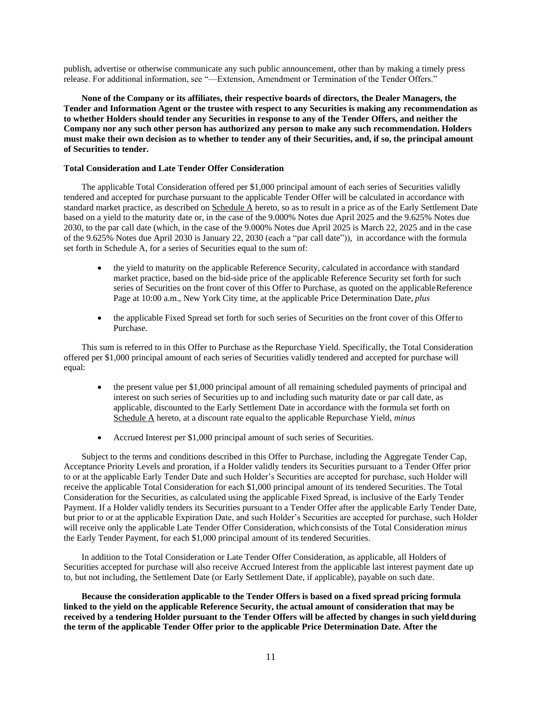publish, advertise or otherwise communicate any such public announcement, other than by making a timely press release. For additional information, see "—Extension, Amendment or Termination of the Tender Offers."

**None of the Company or its affiliates, their respective boards of directors, the Dealer Managers, the Tender and Information Agent or the trustee with respect to any Securities is making any recommendation as to whether Holders should tender any Securities in response to any of the Tender Offers, and neither the Company nor any such other person has authorized any person to make any such recommendation. Holders must make their own decision as to whether to tender any of their Securities, and, if so, the principal amount of Securities to tender.**

### **Total Consideration and Late Tender Offer Consideration**

The applicable Total Consideration offered per \$1,000 principal amount of each series of Securities validly tendered and accepted for purchase pursuant to the applicable Tender Offer will be calculated in accordance with standard market practice, as described on Schedule A hereto, so as to result in a price as of the Early Settlement Date based on a yield to the maturity date or, in the case of the 9.000% Notes due April 2025 and the 9.625% Notes due 2030, to the par call date (which, in the case of the 9.000% Notes due April 2025 is March 22, 2025 and in the case of the 9.625% Notes due April 2030 is January 22, 2030 (each a "par call date")), in accordance with the formula set forth in Schedule A, for a series of Securities equal to the sum of:

- the yield to maturity on the applicable Reference Security, calculated in accordance with standard market practice, based on the bid-side price of the applicable Reference Security set forth for such series of Securities on the front cover of this Offer to Purchase, as quoted on the applicable Reference Page at 10:00 a.m., New York City time, at the applicable Price Determination Date, *plus*
- the applicable Fixed Spread set forth for such series of Securities on the front cover of this Offerto Purchase.

This sum is referred to in this Offer to Purchase as the Repurchase Yield. Specifically, the Total Consideration offered per \$1,000 principal amount of each series of Securities validly tendered and accepted for purchase will equal:

- the present value per \$1,000 principal amount of all remaining scheduled payments of principal and interest on such series of Securities up to and including such maturity date or par call date, as applicable, discounted to the Early Settlement Date in accordance with the formula set forth on Schedule A hereto, at a discount rate equalto the applicable Repurchase Yield, *minus*
- Accrued Interest per \$1,000 principal amount of such series of Securities.

Subject to the terms and conditions described in this Offer to Purchase, including the Aggregate Tender Cap, Acceptance Priority Levels and proration, if a Holder validly tenders its Securities pursuant to a Tender Offer prior to or at the applicable Early Tender Date and such Holder's Securities are accepted for purchase, such Holder will receive the applicable Total Consideration for each \$1,000 principal amount of its tendered Securities. The Total Consideration for the Securities, as calculated using the applicable Fixed Spread, is inclusive of the Early Tender Payment. If a Holder validly tenders its Securities pursuant to a Tender Offer after the applicable Early Tender Date, but prior to or at the applicable Expiration Date, and such Holder's Securities are accepted for purchase, such Holder will receive only the applicable Late Tender Offer Consideration, which consists of the Total Consideration *minus*  the Early Tender Payment, for each \$1,000 principal amount of its tendered Securities.

In addition to the Total Consideration or Late Tender Offer Consideration, as applicable, all Holders of Securities accepted for purchase will also receive Accrued Interest from the applicable last interest payment date up to, but not including, the Settlement Date (or Early Settlement Date, if applicable), payable on such date.

**Because the consideration applicable to the Tender Offers is based on a fixed spread pricing formula linked to the yield on the applicable Reference Security, the actual amount of consideration that may be received by a tendering Holder pursuant to the Tender Offers will be affected by changes in such yieldduring the term of the applicable Tender Offer prior to the applicable Price Determination Date. After the**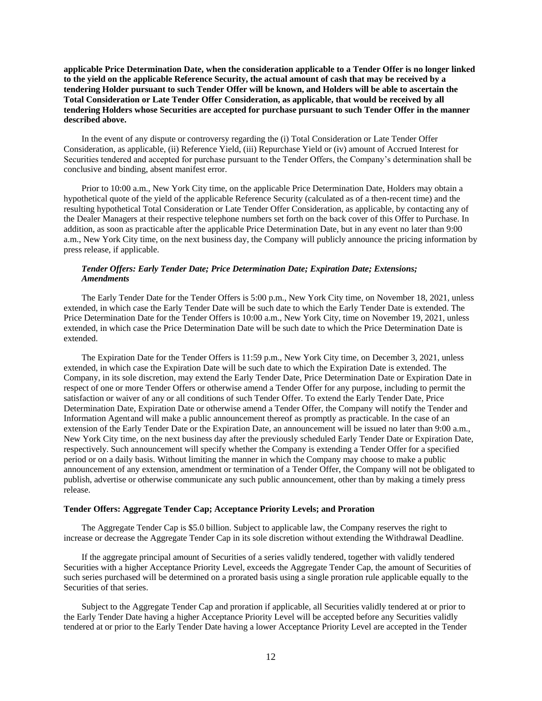**applicable Price Determination Date, when the consideration applicable to a Tender Offer is no longer linked to the yield on the applicable Reference Security, the actual amount of cash that may be received by a tendering Holder pursuant to such Tender Offer will be known, and Holders will be able to ascertain the Total Consideration or Late Tender Offer Consideration, as applicable, that would be received by all tendering Holders whose Securities are accepted for purchase pursuant to such Tender Offer in the manner described above.**

In the event of any dispute or controversy regarding the (i) Total Consideration or Late Tender Offer Consideration, as applicable, (ii) Reference Yield, (iii) Repurchase Yield or (iv) amount of Accrued Interest for Securities tendered and accepted for purchase pursuant to the Tender Offers, the Company's determination shall be conclusive and binding, absent manifest error.

Prior to 10:00 a.m., New York City time, on the applicable Price Determination Date, Holders may obtain a hypothetical quote of the yield of the applicable Reference Security (calculated as of a then-recent time) and the resulting hypothetical Total Consideration or Late Tender Offer Consideration, as applicable, by contacting any of the Dealer Managers at their respective telephone numbers set forth on the back cover of this Offer to Purchase. In addition, as soon as practicable after the applicable Price Determination Date, but in any event no later than 9:00 a.m., New York City time, on the next business day, the Company will publicly announce the pricing information by press release, if applicable.

## *Tender Offers: Early Tender Date; Price Determination Date; Expiration Date; Extensions; Amendments*

The Early Tender Date for the Tender Offers is 5:00 p.m., New York City time, on November 18, 2021, unless extended, in which case the Early Tender Date will be such date to which the Early Tender Date is extended. The Price Determination Date for the Tender Offers is 10:00 a.m., New York City, time on November 19, 2021, unless extended, in which case the Price Determination Date will be such date to which the Price Determination Date is extended.

The Expiration Date for the Tender Offers is 11:59 p.m., New York City time, on December 3, 2021, unless extended, in which case the Expiration Date will be such date to which the Expiration Date is extended. The Company, in its sole discretion, may extend the Early Tender Date, Price Determination Date or Expiration Date in respect of one or more Tender Offers or otherwise amend a Tender Offer for any purpose, including to permit the satisfaction or waiver of any or all conditions of such Tender Offer. To extend the Early Tender Date, Price Determination Date, Expiration Date or otherwise amend a Tender Offer, the Company will notify the Tender and Information Agentand will make a public announcement thereof as promptly as practicable. In the case of an extension of the Early Tender Date or the Expiration Date, an announcement will be issued no later than 9:00 a.m., New York City time, on the next business day after the previously scheduled Early Tender Date or Expiration Date, respectively. Such announcement will specify whether the Company is extending a Tender Offer for a specified period or on a daily basis. Without limiting the manner in which the Company may choose to make a public announcement of any extension, amendment or termination of a Tender Offer, the Company will not be obligated to publish, advertise or otherwise communicate any such public announcement, other than by making a timely press release.

#### **Tender Offers: Aggregate Tender Cap; Acceptance Priority Levels; and Proration**

The Aggregate Tender Cap is \$5.0 billion. Subject to applicable law, the Company reserves the right to increase or decrease the Aggregate Tender Cap in its sole discretion without extending the Withdrawal Deadline.

If the aggregate principal amount of Securities of a series validly tendered, together with validly tendered Securities with a higher Acceptance Priority Level, exceeds the Aggregate Tender Cap, the amount of Securities of such series purchased will be determined on a prorated basis using a single proration rule applicable equally to the Securities of that series.

Subject to the Aggregate Tender Cap and proration if applicable, all Securities validly tendered at or prior to the Early Tender Date having a higher Acceptance Priority Level will be accepted before any Securities validly tendered at or prior to the Early Tender Date having a lower Acceptance Priority Level are accepted in the Tender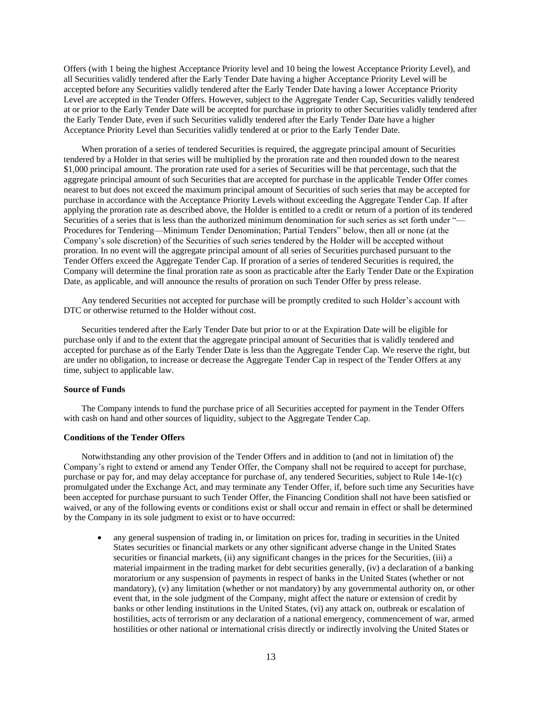Offers (with 1 being the highest Acceptance Priority level and 10 being the lowest Acceptance Priority Level), and all Securities validly tendered after the Early Tender Date having a higher Acceptance Priority Level will be accepted before any Securities validly tendered after the Early Tender Date having a lower Acceptance Priority Level are accepted in the Tender Offers. However, subject to the Aggregate Tender Cap, Securities validly tendered at or prior to the Early Tender Date will be accepted for purchase in priority to other Securities validly tendered after the Early Tender Date, even if such Securities validly tendered after the Early Tender Date have a higher Acceptance Priority Level than Securities validly tendered at or prior to the Early Tender Date.

When proration of a series of tendered Securities is required, the aggregate principal amount of Securities tendered by a Holder in that series will be multiplied by the proration rate and then rounded down to the nearest \$1,000 principal amount. The proration rate used for a series of Securities will be that percentage, such that the aggregate principal amount of such Securities that are accepted for purchase in the applicable Tender Offer comes nearest to but does not exceed the maximum principal amount of Securities of such series that may be accepted for purchase in accordance with the Acceptance Priority Levels without exceeding the Aggregate Tender Cap. If after applying the proration rate as described above, the Holder is entitled to a credit or return of a portion of its tendered Securities of a series that is less than the authorized minimum denomination for such series as set forth under "— Procedures for Tendering—Minimum Tender Denomination; Partial Tenders" below, then all or none (at the Company's sole discretion) of the Securities of such series tendered by the Holder will be accepted without proration. In no event will the aggregate principal amount of all series of Securities purchased pursuant to the Tender Offers exceed the Aggregate Tender Cap. If proration of a series of tendered Securities is required, the Company will determine the final proration rate as soon as practicable after the Early Tender Date or the Expiration Date, as applicable, and will announce the results of proration on such Tender Offer by press release.

Any tendered Securities not accepted for purchase will be promptly credited to such Holder's account with DTC or otherwise returned to the Holder without cost.

Securities tendered after the Early Tender Date but prior to or at the Expiration Date will be eligible for purchase only if and to the extent that the aggregate principal amount of Securities that is validly tendered and accepted for purchase as of the Early Tender Date is less than the Aggregate Tender Cap. We reserve the right, but are under no obligation, to increase or decrease the Aggregate Tender Cap in respect of the Tender Offers at any time, subject to applicable law.

## **Source of Funds**

The Company intends to fund the purchase price of all Securities accepted for payment in the Tender Offers with cash on hand and other sources of liquidity, subject to the Aggregate Tender Cap.

## **Conditions of the Tender Offers**

Notwithstanding any other provision of the Tender Offers and in addition to (and not in limitation of) the Company's right to extend or amend any Tender Offer, the Company shall not be required to accept for purchase, purchase or pay for, and may delay acceptance for purchase of, any tendered Securities, subject to Rule 14e-1(c) promulgated under the Exchange Act, and may terminate any Tender Offer, if, before such time any Securities have been accepted for purchase pursuant to such Tender Offer, the Financing Condition shall not have been satisfied or waived, or any of the following events or conditions exist or shall occur and remain in effect or shall be determined by the Company in its sole judgment to exist or to have occurred:

 any general suspension of trading in, or limitation on prices for, trading in securities in the United States securities or financial markets or any other significant adverse change in the United States securities or financial markets, (ii) any significant changes in the prices for the Securities, (iii) a material impairment in the trading market for debt securities generally, (iv) a declaration of a banking moratorium or any suspension of payments in respect of banks in the United States (whether or not mandatory), (v) any limitation (whether or not mandatory) by any governmental authority on, or other event that, in the sole judgment of the Company, might affect the nature or extension of credit by banks or other lending institutions in the United States, (vi) any attack on, outbreak or escalation of hostilities, acts of terrorism or any declaration of a national emergency, commencement of war, armed hostilities or other national or international crisis directly or indirectly involving the United States or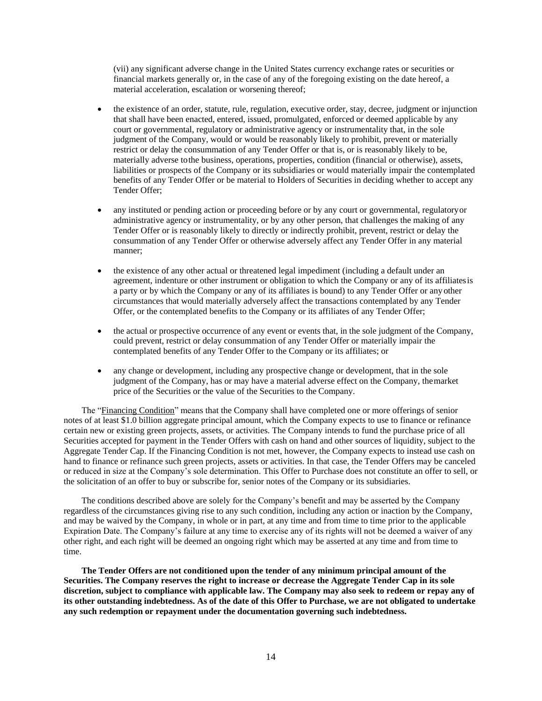(vii) any significant adverse change in the United States currency exchange rates or securities or financial markets generally or, in the case of any of the foregoing existing on the date hereof, a material acceleration, escalation or worsening thereof;

- the existence of an order, statute, rule, regulation, executive order, stay, decree, judgment or injunction that shall have been enacted, entered, issued, promulgated, enforced or deemed applicable by any court or governmental, regulatory or administrative agency or instrumentality that, in the sole judgment of the Company, would or would be reasonably likely to prohibit, prevent or materially restrict or delay the consummation of any Tender Offer or that is, or is reasonably likely to be, materially adverse tothe business, operations, properties, condition (financial or otherwise), assets, liabilities or prospects of the Company or its subsidiaries or would materially impair the contemplated benefits of any Tender Offer or be material to Holders of Securities in deciding whether to accept any Tender Offer;
- any instituted or pending action or proceeding before or by any court or governmental, regulatoryor administrative agency or instrumentality, or by any other person, that challenges the making of any Tender Offer or is reasonably likely to directly or indirectly prohibit, prevent, restrict or delay the consummation of any Tender Offer or otherwise adversely affect any Tender Offer in any material manner;
- the existence of any other actual or threatened legal impediment (including a default under an agreement, indenture or other instrument or obligation to which the Company or any of its affiliatesis a party or by which the Company or any of its affiliates is bound) to any Tender Offer or any other circumstances that would materially adversely affect the transactions contemplated by any Tender Offer, or the contemplated benefits to the Company or its affiliates of any Tender Offer;
- the actual or prospective occurrence of any event or events that, in the sole judgment of the Company, could prevent, restrict or delay consummation of any Tender Offer or materially impair the contemplated benefits of any Tender Offer to the Company or its affiliates; or
- any change or development, including any prospective change or development, that in the sole judgment of the Company, has or may have a material adverse effect on the Company, themarket price of the Securities or the value of the Securities to the Company.

The "Financing Condition" means that the Company shall have completed one or more offerings of senior notes of at least \$1.0 billion aggregate principal amount, which the Company expects to use to finance or refinance certain new or existing green projects, assets, or activities. The Company intends to fund the purchase price of all Securities accepted for payment in the Tender Offers with cash on hand and other sources of liquidity, subject to the Aggregate Tender Cap. If the Financing Condition is not met, however, the Company expects to instead use cash on hand to finance or refinance such green projects, assets or activities. In that case, the Tender Offers may be canceled or reduced in size at the Company's sole determination. This Offer to Purchase does not constitute an offer to sell, or the solicitation of an offer to buy or subscribe for, senior notes of the Company or its subsidiaries.

The conditions described above are solely for the Company's benefit and may be asserted by the Company regardless of the circumstances giving rise to any such condition, including any action or inaction by the Company, and may be waived by the Company, in whole or in part, at any time and from time to time prior to the applicable Expiration Date. The Company's failure at any time to exercise any of its rights will not be deemed a waiver of any other right, and each right will be deemed an ongoing right which may be asserted at any time and from time to time.

**The Tender Offers are not conditioned upon the tender of any minimum principal amount of the Securities. The Company reserves the right to increase or decrease the Aggregate Tender Cap in its sole discretion, subject to compliance with applicable law. The Company may also seek to redeem or repay any of its other outstanding indebtedness. As of the date of this Offer to Purchase, we are not obligated to undertake any such redemption or repayment under the documentation governing such indebtedness.**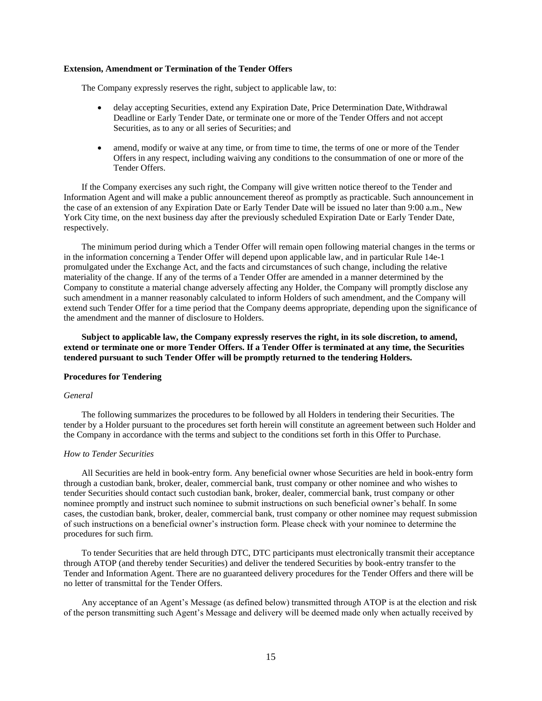## **Extension, Amendment or Termination of the Tender Offers**

The Company expressly reserves the right, subject to applicable law, to:

- delay accepting Securities, extend any Expiration Date, Price Determination Date, Withdrawal Deadline or Early Tender Date, or terminate one or more of the Tender Offers and not accept Securities, as to any or all series of Securities; and
- amend, modify or waive at any time, or from time to time, the terms of one or more of the Tender Offers in any respect, including waiving any conditions to the consummation of one or more of the Tender Offers.

If the Company exercises any such right, the Company will give written notice thereof to the Tender and Information Agent and will make a public announcement thereof as promptly as practicable. Such announcement in the case of an extension of any Expiration Date or Early Tender Date will be issued no later than 9:00 a.m., New York City time, on the next business day after the previously scheduled Expiration Date or Early Tender Date, respectively.

The minimum period during which a Tender Offer will remain open following material changes in the terms or in the information concerning a Tender Offer will depend upon applicable law, and in particular Rule 14e-1 promulgated under the Exchange Act, and the facts and circumstances of such change, including the relative materiality of the change. If any of the terms of a Tender Offer are amended in a manner determined by the Company to constitute a material change adversely affecting any Holder, the Company will promptly disclose any such amendment in a manner reasonably calculated to inform Holders of such amendment, and the Company will extend such Tender Offer for a time period that the Company deems appropriate, depending upon the significance of the amendment and the manner of disclosure to Holders.

**Subject to applicable law, the Company expressly reserves the right, in its sole discretion, to amend, extend or terminate one or more Tender Offers. If a Tender Offer is terminated at any time, the Securities tendered pursuant to such Tender Offer will be promptly returned to the tendering Holders.**

#### **Procedures for Tendering**

#### *General*

The following summarizes the procedures to be followed by all Holders in tendering their Securities. The tender by a Holder pursuant to the procedures set forth herein will constitute an agreement between such Holder and the Company in accordance with the terms and subject to the conditions set forth in this Offer to Purchase.

## *How to Tender Securities*

All Securities are held in book-entry form. Any beneficial owner whose Securities are held in book-entry form through a custodian bank, broker, dealer, commercial bank, trust company or other nominee and who wishes to tender Securities should contact such custodian bank, broker, dealer, commercial bank, trust company or other nominee promptly and instruct such nominee to submit instructions on such beneficial owner's behalf. In some cases, the custodian bank, broker, dealer, commercial bank, trust company or other nominee may request submission of such instructions on a beneficial owner's instruction form. Please check with your nominee to determine the procedures for such firm.

To tender Securities that are held through DTC, DTC participants must electronically transmit their acceptance through ATOP (and thereby tender Securities) and deliver the tendered Securities by book-entry transfer to the Tender and Information Agent. There are no guaranteed delivery procedures for the Tender Offers and there will be no letter of transmittal for the Tender Offers.

Any acceptance of an Agent's Message (as defined below) transmitted through ATOP is at the election and risk of the person transmitting such Agent's Message and delivery will be deemed made only when actually received by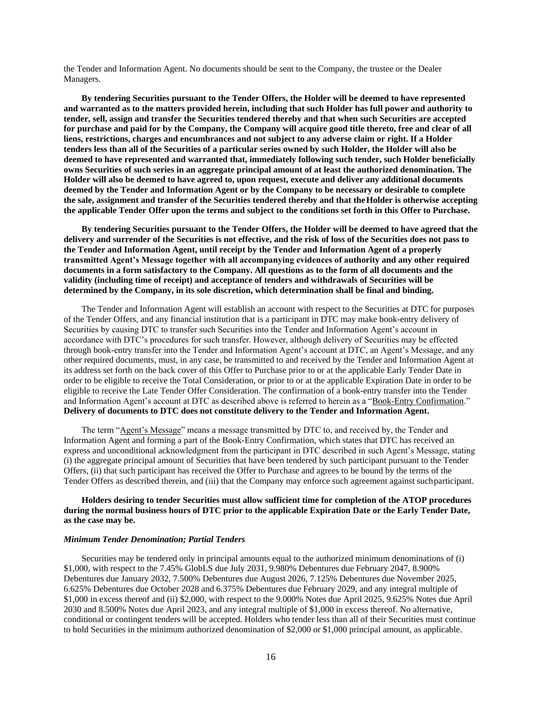the Tender and Information Agent. No documents should be sent to the Company, the trustee or the Dealer Managers.

**By tendering Securities pursuant to the Tender Offers, the Holder will be deemed to have represented and warranted as to the matters provided herein, including that such Holder has full power and authority to tender, sell, assign and transfer the Securities tendered thereby and that when such Securities are accepted for purchase and paid for by the Company, the Company will acquire good title thereto, free and clear of all liens, restrictions, charges and encumbrances and not subject to any adverse claim or right. If a Holder tenders less than all of the Securities of a particular series owned by such Holder, the Holder will also be deemed to have represented and warranted that, immediately following such tender, such Holder beneficially owns Securities of such series in an aggregate principal amount of at least the authorized denomination. The Holder will also be deemed to have agreed to, upon request, execute and deliver any additional documents deemed by the Tender and Information Agent or by the Company to be necessary or desirable to complete the sale, assignment and transfer of the Securities tendered thereby and that theHolder is otherwise accepting the applicable Tender Offer upon the terms and subject to the conditions set forth in this Offer to Purchase.**

**By tendering Securities pursuant to the Tender Offers, the Holder will be deemed to have agreed that the delivery and surrender of the Securities is not effective, and the risk of loss of the Securities does not pass to the Tender and Information Agent, until receipt by the Tender and Information Agent of a properly transmitted Agent's Message together with all accompanying evidences of authority and any other required documents in a form satisfactory to the Company. All questions as to the form of all documents and the validity (including time of receipt) and acceptance of tenders and withdrawals of Securities will be determined by the Company, in its sole discretion, which determination shall be final and binding.**

The Tender and Information Agent will establish an account with respect to the Securities at DTC for purposes of the Tender Offers, and any financial institution that is a participant in DTC may make book-entry delivery of Securities by causing DTC to transfer such Securities into the Tender and Information Agent's account in accordance with DTC's procedures for such transfer. However, although delivery of Securities may be effected through book-entry transfer into the Tender and Information Agent's account at DTC, an Agent's Message, and any other required documents, must, in any case, be transmitted to and received by the Tender and Information Agent at its address set forth on the back cover of this Offer to Purchase prior to or at the applicable Early Tender Date in order to be eligible to receive the Total Consideration, or prior to or at the applicable Expiration Date in order to be eligible to receive the Late Tender Offer Consideration. The confirmation of a book-entry transfer into the Tender and Information Agent's account at DTC as described above is referred to herein as a "Book-Entry Confirmation." **Delivery of documents to DTC does not constitute delivery to the Tender and Information Agent.**

The term "Agent's Message" means a message transmitted by DTC to, and received by, the Tender and Information Agent and forming a part of the Book-Entry Confirmation, which states that DTC has received an express and unconditional acknowledgment from the participant in DTC described in such Agent's Message, stating (i) the aggregate principal amount of Securities that have been tendered by such participant pursuant to the Tender Offers, (ii) that such participant has received the Offer to Purchase and agrees to be bound by the terms of the Tender Offers as described therein, and (iii) that the Company may enforce such agreement against suchparticipant.

## **Holders desiring to tender Securities must allow sufficient time for completion of the ATOP procedures during the normal business hours of DTC prior to the applicable Expiration Date or the Early Tender Date, as the case may be.**

## *Minimum Tender Denomination; Partial Tenders*

Securities may be tendered only in principal amounts equal to the authorized minimum denominations of (i) \$1,000, with respect to the 7.45% GlobLS due July 2031, 9.980% Debentures due February 2047, 8.900% Debentures due January 2032, 7.500% Debentures due August 2026, 7.125% Debentures due November 2025, 6.625% Debentures due October 2028 and 6.375% Debentures due February 2029, and any integral multiple of \$1,000 in excess thereof and (ii) \$2,000, with respect to the 9.000% Notes due April 2025, 9.625% Notes due April 2030 and 8.500% Notes due April 2023, and any integral multiple of \$1,000 in excess thereof. No alternative, conditional or contingent tenders will be accepted. Holders who tender less than all of their Securities must continue to hold Securities in the minimum authorized denomination of \$2,000 or \$1,000 principal amount, as applicable.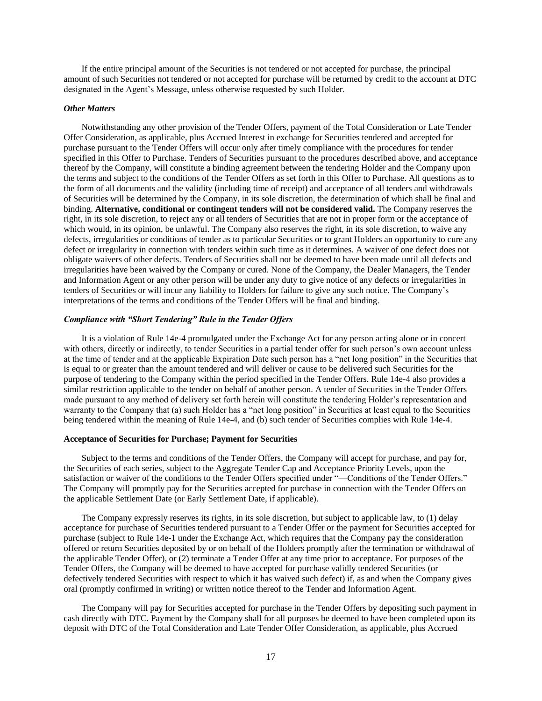If the entire principal amount of the Securities is not tendered or not accepted for purchase, the principal amount of such Securities not tendered or not accepted for purchase will be returned by credit to the account at DTC designated in the Agent's Message, unless otherwise requested by such Holder.

#### *Other Matters*

Notwithstanding any other provision of the Tender Offers, payment of the Total Consideration or Late Tender Offer Consideration, as applicable, plus Accrued Interest in exchange for Securities tendered and accepted for purchase pursuant to the Tender Offers will occur only after timely compliance with the procedures for tender specified in this Offer to Purchase. Tenders of Securities pursuant to the procedures described above, and acceptance thereof by the Company, will constitute a binding agreement between the tendering Holder and the Company upon the terms and subject to the conditions of the Tender Offers as set forth in this Offer to Purchase. All questions as to the form of all documents and the validity (including time of receipt) and acceptance of all tenders and withdrawals of Securities will be determined by the Company, in its sole discretion, the determination of which shall be final and binding. **Alternative, conditional or contingent tenders will not be considered valid.** The Company reserves the right, in its sole discretion, to reject any or all tenders of Securities that are not in proper form or the acceptance of which would, in its opinion, be unlawful. The Company also reserves the right, in its sole discretion, to waive any defects, irregularities or conditions of tender as to particular Securities or to grant Holders an opportunity to cure any defect or irregularity in connection with tenders within such time as it determines. A waiver of one defect does not obligate waivers of other defects. Tenders of Securities shall not be deemed to have been made until all defects and irregularities have been waived by the Company or cured. None of the Company, the Dealer Managers, the Tender and Information Agent or any other person will be under any duty to give notice of any defects or irregularities in tenders of Securities or will incur any liability to Holders for failure to give any such notice. The Company's interpretations of the terms and conditions of the Tender Offers will be final and binding.

## *Compliance with "Short Tendering" Rule in the Tender Offers*

It is a violation of Rule 14e-4 promulgated under the Exchange Act for any person acting alone or in concert with others, directly or indirectly, to tender Securities in a partial tender offer for such person's own account unless at the time of tender and at the applicable Expiration Date such person has a "net long position" in the Securities that is equal to or greater than the amount tendered and will deliver or cause to be delivered such Securities for the purpose of tendering to the Company within the period specified in the Tender Offers. Rule 14e-4 also provides a similar restriction applicable to the tender on behalf of another person. A tender of Securities in the Tender Offers made pursuant to any method of delivery set forth herein will constitute the tendering Holder's representation and warranty to the Company that (a) such Holder has a "net long position" in Securities at least equal to the Securities being tendered within the meaning of Rule 14e-4, and (b) such tender of Securities complies with Rule 14e-4.

#### **Acceptance of Securities for Purchase; Payment for Securities**

Subject to the terms and conditions of the Tender Offers, the Company will accept for purchase, and pay for, the Securities of each series, subject to the Aggregate Tender Cap and Acceptance Priority Levels, upon the satisfaction or waiver of the conditions to the Tender Offers specified under "—Conditions of the Tender Offers." The Company will promptly pay for the Securities accepted for purchase in connection with the Tender Offers on the applicable Settlement Date (or Early Settlement Date, if applicable).

The Company expressly reserves its rights, in its sole discretion, but subject to applicable law, to (1) delay acceptance for purchase of Securities tendered pursuant to a Tender Offer or the payment for Securities accepted for purchase (subject to Rule 14e-1 under the Exchange Act, which requires that the Company pay the consideration offered or return Securities deposited by or on behalf of the Holders promptly after the termination or withdrawal of the applicable Tender Offer), or (2) terminate a Tender Offer at any time prior to acceptance. For purposes of the Tender Offers, the Company will be deemed to have accepted for purchase validly tendered Securities (or defectively tendered Securities with respect to which it has waived such defect) if, as and when the Company gives oral (promptly confirmed in writing) or written notice thereof to the Tender and Information Agent.

The Company will pay for Securities accepted for purchase in the Tender Offers by depositing such payment in cash directly with DTC. Payment by the Company shall for all purposes be deemed to have been completed upon its deposit with DTC of the Total Consideration and Late Tender Offer Consideration, as applicable, plus Accrued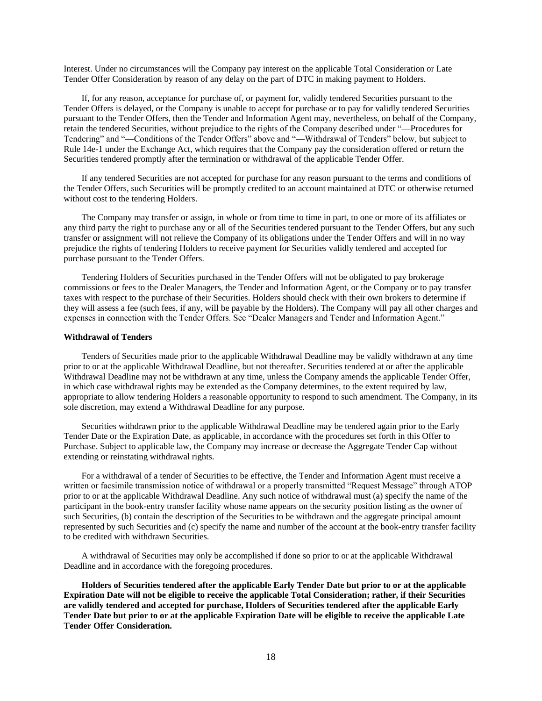Interest. Under no circumstances will the Company pay interest on the applicable Total Consideration or Late Tender Offer Consideration by reason of any delay on the part of DTC in making payment to Holders.

If, for any reason, acceptance for purchase of, or payment for, validly tendered Securities pursuant to the Tender Offers is delayed, or the Company is unable to accept for purchase or to pay for validly tendered Securities pursuant to the Tender Offers, then the Tender and Information Agent may, nevertheless, on behalf of the Company, retain the tendered Securities, without prejudice to the rights of the Company described under "—Procedures for Tendering" and "—Conditions of the Tender Offers" above and "—Withdrawal of Tenders" below, but subject to Rule 14e-1 under the Exchange Act, which requires that the Company pay the consideration offered or return the Securities tendered promptly after the termination or withdrawal of the applicable Tender Offer.

If any tendered Securities are not accepted for purchase for any reason pursuant to the terms and conditions of the Tender Offers, such Securities will be promptly credited to an account maintained at DTC or otherwise returned without cost to the tendering Holders.

The Company may transfer or assign, in whole or from time to time in part, to one or more of its affiliates or any third party the right to purchase any or all of the Securities tendered pursuant to the Tender Offers, but any such transfer or assignment will not relieve the Company of its obligations under the Tender Offers and will in no way prejudice the rights of tendering Holders to receive payment for Securities validly tendered and accepted for purchase pursuant to the Tender Offers.

Tendering Holders of Securities purchased in the Tender Offers will not be obligated to pay brokerage commissions or fees to the Dealer Managers, the Tender and Information Agent, or the Company or to pay transfer taxes with respect to the purchase of their Securities. Holders should check with their own brokers to determine if they will assess a fee (such fees, if any, will be payable by the Holders). The Company will pay all other charges and expenses in connection with the Tender Offers. See "Dealer Managers and Tender and Information Agent."

### **Withdrawal of Tenders**

Tenders of Securities made prior to the applicable Withdrawal Deadline may be validly withdrawn at any time prior to or at the applicable Withdrawal Deadline, but not thereafter. Securities tendered at or after the applicable Withdrawal Deadline may not be withdrawn at any time, unless the Company amends the applicable Tender Offer, in which case withdrawal rights may be extended as the Company determines, to the extent required by law, appropriate to allow tendering Holders a reasonable opportunity to respond to such amendment. The Company, in its sole discretion, may extend a Withdrawal Deadline for any purpose.

Securities withdrawn prior to the applicable Withdrawal Deadline may be tendered again prior to the Early Tender Date or the Expiration Date, as applicable, in accordance with the procedures set forth in this Offer to Purchase. Subject to applicable law, the Company may increase or decrease the Aggregate Tender Cap without extending or reinstating withdrawal rights.

For a withdrawal of a tender of Securities to be effective, the Tender and Information Agent must receive a written or facsimile transmission notice of withdrawal or a properly transmitted "Request Message" through ATOP prior to or at the applicable Withdrawal Deadline. Any such notice of withdrawal must (a) specify the name of the participant in the book-entry transfer facility whose name appears on the security position listing as the owner of such Securities, (b) contain the description of the Securities to be withdrawn and the aggregate principal amount represented by such Securities and (c) specify the name and number of the account at the book-entry transfer facility to be credited with withdrawn Securities.

A withdrawal of Securities may only be accomplished if done so prior to or at the applicable Withdrawal Deadline and in accordance with the foregoing procedures.

**Holders of Securities tendered after the applicable Early Tender Date but prior to or at the applicable Expiration Date will not be eligible to receive the applicable Total Consideration; rather, if their Securities are validly tendered and accepted for purchase, Holders of Securities tendered after the applicable Early Tender Date but prior to or at the applicable Expiration Date will be eligible to receive the applicable Late Tender Offer Consideration.**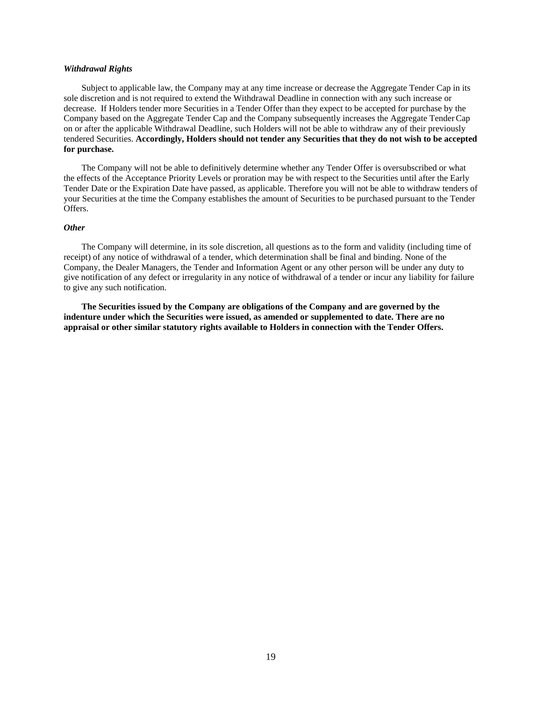### *Withdrawal Rights*

Subject to applicable law, the Company may at any time increase or decrease the Aggregate Tender Cap in its sole discretion and is not required to extend the Withdrawal Deadline in connection with any such increase or decrease. If Holders tender more Securities in a Tender Offer than they expect to be accepted for purchase by the Company based on the Aggregate Tender Cap and the Company subsequently increases the Aggregate TenderCap on or after the applicable Withdrawal Deadline, such Holders will not be able to withdraw any of their previously tendered Securities. **Accordingly, Holders should not tender any Securities that they do not wish to be accepted for purchase.**

The Company will not be able to definitively determine whether any Tender Offer is oversubscribed or what the effects of the Acceptance Priority Levels or proration may be with respect to the Securities until after the Early Tender Date or the Expiration Date have passed, as applicable. Therefore you will not be able to withdraw tenders of your Securities at the time the Company establishes the amount of Securities to be purchased pursuant to the Tender Offers.

#### *Other*

The Company will determine, in its sole discretion, all questions as to the form and validity (including time of receipt) of any notice of withdrawal of a tender, which determination shall be final and binding. None of the Company, the Dealer Managers, the Tender and Information Agent or any other person will be under any duty to give notification of any defect or irregularity in any notice of withdrawal of a tender or incur any liability for failure to give any such notification.

**The Securities issued by the Company are obligations of the Company and are governed by the indenture under which the Securities were issued, as amended or supplemented to date. There are no appraisal or other similar statutory rights available to Holders in connection with the Tender Offers.**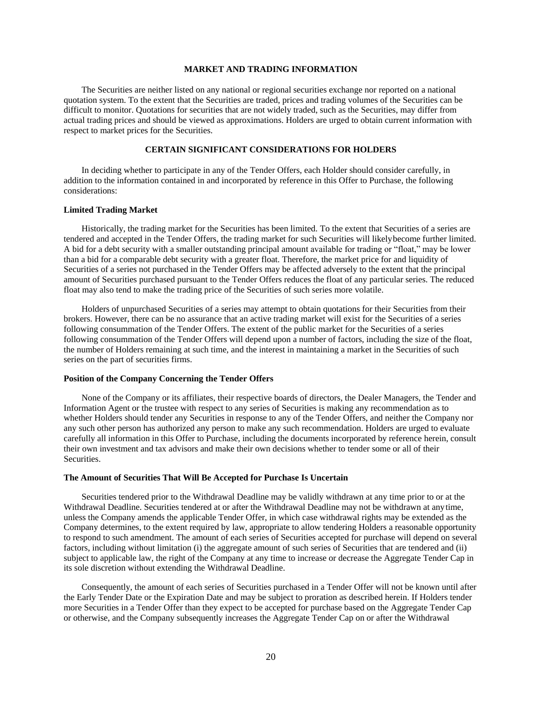### **MARKET AND TRADING INFORMATION**

<span id="page-28-0"></span>The Securities are neither listed on any national or regional securities exchange nor reported on a national quotation system. To the extent that the Securities are traded, prices and trading volumes of the Securities can be difficult to monitor. Quotations for securities that are not widely traded, such as the Securities, may differ from actual trading prices and should be viewed as approximations. Holders are urged to obtain current information with respect to market prices for the Securities.

#### **CERTAIN SIGNIFICANT CONSIDERATIONS FOR HOLDERS**

<span id="page-28-1"></span>In deciding whether to participate in any of the Tender Offers, each Holder should consider carefully, in addition to the information contained in and incorporated by reference in this Offer to Purchase, the following considerations:

#### **Limited Trading Market**

Historically, the trading market for the Securities has been limited. To the extent that Securities of a series are tendered and accepted in the Tender Offers, the trading market for such Securities will likelybecome further limited. A bid for a debt security with a smaller outstanding principal amount available for trading or "float," may be lower than a bid for a comparable debt security with a greater float. Therefore, the market price for and liquidity of Securities of a series not purchased in the Tender Offers may be affected adversely to the extent that the principal amount of Securities purchased pursuant to the Tender Offers reduces the float of any particular series. The reduced float may also tend to make the trading price of the Securities of such series more volatile.

Holders of unpurchased Securities of a series may attempt to obtain quotations for their Securities from their brokers. However, there can be no assurance that an active trading market will exist for the Securities of a series following consummation of the Tender Offers. The extent of the public market for the Securities of a series following consummation of the Tender Offers will depend upon a number of factors, including the size of the float, the number of Holders remaining at such time, and the interest in maintaining a market in the Securities of such series on the part of securities firms.

#### **Position of the Company Concerning the Tender Offers**

None of the Company or its affiliates, their respective boards of directors, the Dealer Managers, the Tender and Information Agent or the trustee with respect to any series of Securities is making any recommendation as to whether Holders should tender any Securities in response to any of the Tender Offers, and neither the Company nor any such other person has authorized any person to make any such recommendation. Holders are urged to evaluate carefully all information in this Offer to Purchase, including the documents incorporated by reference herein, consult their own investment and tax advisors and make their own decisions whether to tender some or all of their Securities.

#### **The Amount of Securities That Will Be Accepted for Purchase Is Uncertain**

Securities tendered prior to the Withdrawal Deadline may be validly withdrawn at any time prior to or at the Withdrawal Deadline. Securities tendered at or after the Withdrawal Deadline may not be withdrawn at anytime, unless the Company amends the applicable Tender Offer, in which case withdrawal rights may be extended as the Company determines, to the extent required by law, appropriate to allow tendering Holders a reasonable opportunity to respond to such amendment. The amount of each series of Securities accepted for purchase will depend on several factors, including without limitation (i) the aggregate amount of such series of Securities that are tendered and (ii) subject to applicable law, the right of the Company at any time to increase or decrease the Aggregate Tender Cap in its sole discretion without extending the Withdrawal Deadline.

Consequently, the amount of each series of Securities purchased in a Tender Offer will not be known until after the Early Tender Date or the Expiration Date and may be subject to proration as described herein. If Holders tender more Securities in a Tender Offer than they expect to be accepted for purchase based on the Aggregate Tender Cap or otherwise, and the Company subsequently increases the Aggregate Tender Cap on or after the Withdrawal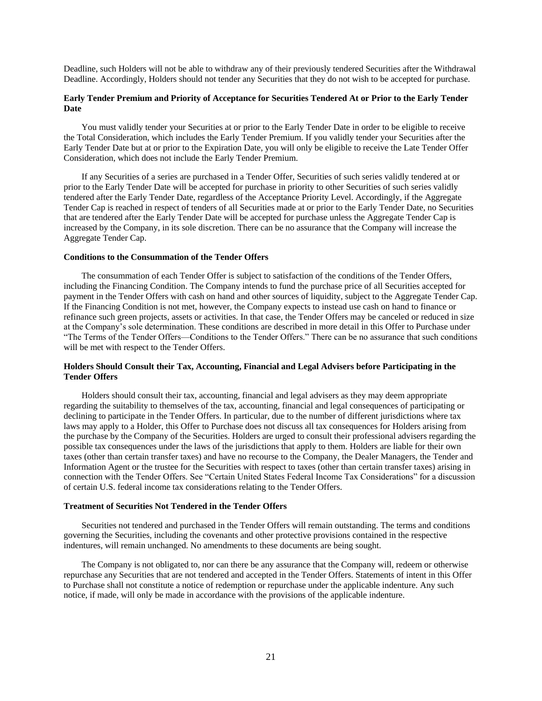Deadline, such Holders will not be able to withdraw any of their previously tendered Securities after the Withdrawal Deadline. Accordingly, Holders should not tender any Securities that they do not wish to be accepted for purchase.

## **Early Tender Premium and Priority of Acceptance for Securities Tendered At or Prior to the Early Tender Date**

You must validly tender your Securities at or prior to the Early Tender Date in order to be eligible to receive the Total Consideration, which includes the Early Tender Premium. If you validly tender your Securities after the Early Tender Date but at or prior to the Expiration Date, you will only be eligible to receive the Late Tender Offer Consideration, which does not include the Early Tender Premium.

If any Securities of a series are purchased in a Tender Offer, Securities of such series validly tendered at or prior to the Early Tender Date will be accepted for purchase in priority to other Securities of such series validly tendered after the Early Tender Date, regardless of the Acceptance Priority Level. Accordingly, if the Aggregate Tender Cap is reached in respect of tenders of all Securities made at or prior to the Early Tender Date, no Securities that are tendered after the Early Tender Date will be accepted for purchase unless the Aggregate Tender Cap is increased by the Company, in its sole discretion. There can be no assurance that the Company will increase the Aggregate Tender Cap.

#### **Conditions to the Consummation of the Tender Offers**

The consummation of each Tender Offer is subject to satisfaction of the conditions of the Tender Offers, including the Financing Condition. The Company intends to fund the purchase price of all Securities accepted for payment in the Tender Offers with cash on hand and other sources of liquidity, subject to the Aggregate Tender Cap. If the Financing Condition is not met, however, the Company expects to instead use cash on hand to finance or refinance such green projects, assets or activities. In that case, the Tender Offers may be canceled or reduced in size at the Company's sole determination. These conditions are described in more detail in this Offer to Purchase under "The Terms of the Tender Offers—Conditions to the Tender Offers." There can be no assurance that such conditions will be met with respect to the Tender Offers.

### **Holders Should Consult their Tax, Accounting, Financial and Legal Advisers before Participating in the Tender Offers**

Holders should consult their tax, accounting, financial and legal advisers as they may deem appropriate regarding the suitability to themselves of the tax, accounting, financial and legal consequences of participating or declining to participate in the Tender Offers. In particular, due to the number of different jurisdictions where tax laws may apply to a Holder, this Offer to Purchase does not discuss all tax consequences for Holders arising from the purchase by the Company of the Securities. Holders are urged to consult their professional advisers regarding the possible tax consequences under the laws of the jurisdictions that apply to them. Holders are liable for their own taxes (other than certain transfer taxes) and have no recourse to the Company, the Dealer Managers, the Tender and Information Agent or the trustee for the Securities with respect to taxes (other than certain transfer taxes) arising in connection with the Tender Offers. See "Certain United States Federal Income Tax Considerations" for a discussion of certain U.S. federal income tax considerations relating to the Tender Offers.

### **Treatment of Securities Not Tendered in the Tender Offers**

Securities not tendered and purchased in the Tender Offers will remain outstanding. The terms and conditions governing the Securities, including the covenants and other protective provisions contained in the respective indentures, will remain unchanged. No amendments to these documents are being sought.

The Company is not obligated to, nor can there be any assurance that the Company will, redeem or otherwise repurchase any Securities that are not tendered and accepted in the Tender Offers. Statements of intent in this Offer to Purchase shall not constitute a notice of redemption or repurchase under the applicable indenture. Any such notice, if made, will only be made in accordance with the provisions of the applicable indenture.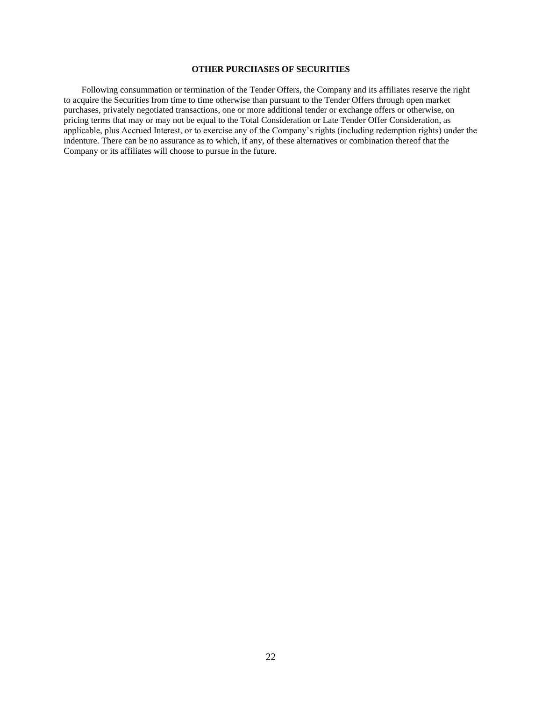## **OTHER PURCHASES OF SECURITIES**

<span id="page-30-0"></span>Following consummation or termination of the Tender Offers, the Company and its affiliates reserve the right to acquire the Securities from time to time otherwise than pursuant to the Tender Offers through open market purchases, privately negotiated transactions, one or more additional tender or exchange offers or otherwise, on pricing terms that may or may not be equal to the Total Consideration or Late Tender Offer Consideration, as applicable, plus Accrued Interest, or to exercise any of the Company's rights (including redemption rights) under the indenture. There can be no assurance as to which, if any, of these alternatives or combination thereof that the Company or its affiliates will choose to pursue in the future.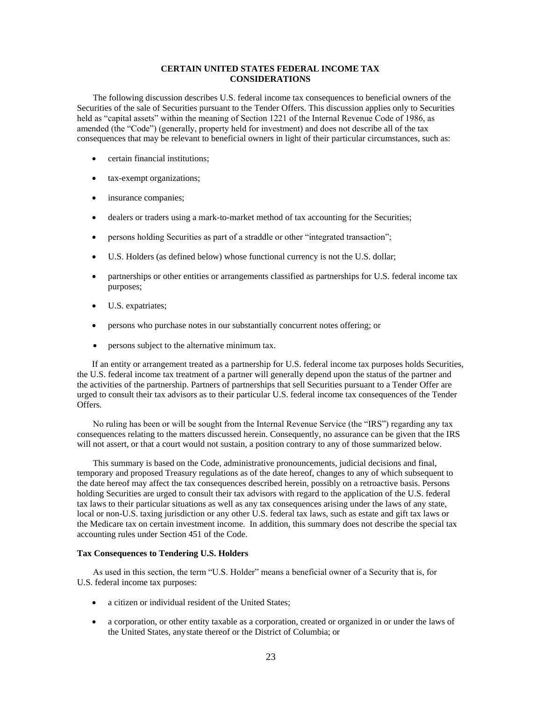## **CERTAIN UNITED STATES FEDERAL INCOME TAX CONSIDERATIONS**

The following discussion describes U.S. federal income tax consequences to beneficial owners of the Securities of the sale of Securities pursuant to the Tender Offers. This discussion applies only to Securities held as "capital assets" within the meaning of Section 1221 of the Internal Revenue Code of 1986, as amended (the "Code") (generally, property held for investment) and does not describe all of the tax consequences that may be relevant to beneficial owners in light of their particular circumstances, such as:

- certain financial institutions;
- tax-exempt organizations;
- insurance companies;
- dealers or traders using a mark-to-market method of tax accounting for the Securities;
- persons holding Securities as part of a straddle or other "integrated transaction";
- U.S. Holders (as defined below) whose functional currency is not the U.S. dollar;
- partnerships or other entities or arrangements classified as partnerships for U.S. federal income tax purposes;
- U.S. expatriates;
- persons who purchase notes in our substantially concurrent notes offering; or
- persons subject to the alternative minimum tax.

If an entity or arrangement treated as a partnership for U.S. federal income tax purposes holds Securities, the U.S. federal income tax treatment of a partner will generally depend upon the status of the partner and the activities of the partnership. Partners of partnerships that sell Securities pursuant to a Tender Offer are urged to consult their tax advisors as to their particular U.S. federal income tax consequences of the Tender Offers.

No ruling has been or will be sought from the Internal Revenue Service (the "IRS") regarding any tax consequences relating to the matters discussed herein. Consequently, no assurance can be given that the IRS will not assert, or that a court would not sustain, a position contrary to any of those summarized below.

This summary is based on the Code, administrative pronouncements, judicial decisions and final, temporary and proposed Treasury regulations as of the date hereof, changes to any of which subsequent to the date hereof may affect the tax consequences described herein, possibly on a retroactive basis. Persons holding Securities are urged to consult their tax advisors with regard to the application of the U.S. federal tax laws to their particular situations as well as any tax consequences arising under the laws of any state, local or non-U.S. taxing jurisdiction or any other U.S. federal tax laws, such as estate and gift tax laws or the Medicare tax on certain investment income. In addition, this summary does not describe the special tax accounting rules under Section 451 of the Code.

#### **Tax Consequences to Tendering U.S. Holders**

As used in this section, the term "U.S. Holder" means a beneficial owner of a Security that is, for U.S. federal income tax purposes:

- a citizen or individual resident of the United States;
- a corporation, or other entity taxable as a corporation, created or organized in or under the laws of the United States, anystate thereof or the District of Columbia; or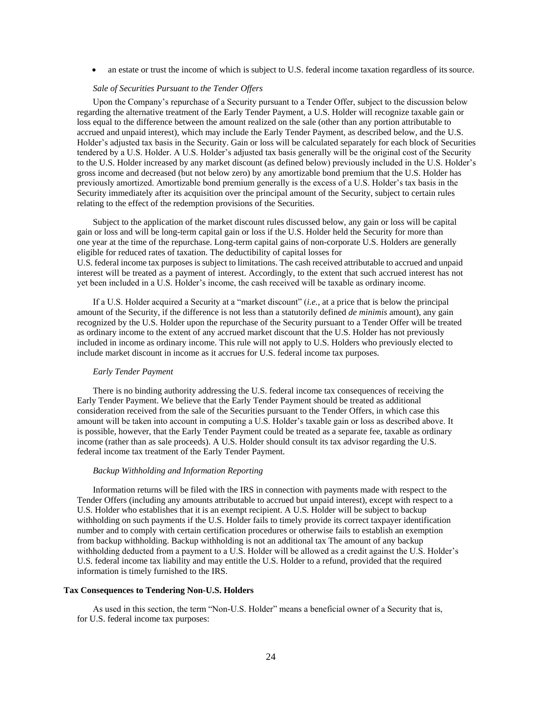an estate or trust the income of which is subject to U.S. federal income taxation regardless of itssource.

#### *Sale of Securities Pursuant to the Tender Offers*

Upon the Company's repurchase of a Security pursuant to a Tender Offer, subject to the discussion below regarding the alternative treatment of the Early Tender Payment, a U.S. Holder will recognize taxable gain or loss equal to the difference between the amount realized on the sale (other than any portion attributable to accrued and unpaid interest), which may include the Early Tender Payment, as described below, and the U.S. Holder's adjusted tax basis in the Security. Gain or loss will be calculated separately for each block of Securities tendered by a U.S. Holder. A U.S. Holder's adjusted tax basis generally will be the original cost of the Security to the U.S. Holder increased by any market discount (as defined below) previously included in the U.S. Holder's gross income and decreased (but not below zero) by any amortizable bond premium that the U.S. Holder has previously amortized. Amortizable bond premium generally is the excess of a U.S. Holder's tax basis in the Security immediately after its acquisition over the principal amount of the Security, subject to certain rules relating to the effect of the redemption provisions of the Securities.

Subject to the application of the market discount rules discussed below, any gain or loss will be capital gain or loss and will be long-term capital gain or loss if the U.S. Holder held the Security for more than one year at the time of the repurchase. Long-term capital gains of non-corporate U.S. Holders are generally eligible for reduced rates of taxation. The deductibility of capital losses for U.S. federal income tax purposes is subject to limitations. The cash received attributable to accrued and unpaid interest will be treated as a payment of interest. Accordingly, to the extent that such accrued interest has not yet been included in a U.S. Holder's income, the cash received will be taxable as ordinary income.

If a U.S. Holder acquired a Security at a "market discount" (*i.e.*, at a price that is below the principal amount of the Security, if the difference is not less than a statutorily defined *de minimis* amount), any gain recognized by the U.S. Holder upon the repurchase of the Security pursuant to a Tender Offer will be treated as ordinary income to the extent of any accrued market discount that the U.S. Holder has not previously included in income as ordinary income. This rule will not apply to U.S. Holders who previously elected to include market discount in income as it accrues for U.S. federal income tax purposes.

#### *Early Tender Payment*

There is no binding authority addressing the U.S. federal income tax consequences of receiving the Early Tender Payment. We believe that the Early Tender Payment should be treated as additional consideration received from the sale of the Securities pursuant to the Tender Offers, in which case this amount will be taken into account in computing a U.S. Holder's taxable gain or loss as described above. It is possible, however, that the Early Tender Payment could be treated as a separate fee, taxable as ordinary income (rather than as sale proceeds). A U.S. Holder should consult its tax advisor regarding the U.S. federal income tax treatment of the Early Tender Payment.

#### *Backup Withholding and Information Reporting*

Information returns will be filed with the IRS in connection with payments made with respect to the Tender Offers (including any amounts attributable to accrued but unpaid interest), except with respect to a U.S. Holder who establishes that it is an exempt recipient. A U.S. Holder will be subject to backup withholding on such payments if the U.S. Holder fails to timely provide its correct taxpayer identification number and to comply with certain certification procedures or otherwise fails to establish an exemption from backup withholding. Backup withholding is not an additional tax The amount of any backup withholding deducted from a payment to a U.S. Holder will be allowed as a credit against the U.S. Holder's U.S. federal income tax liability and may entitle the U.S. Holder to a refund, provided that the required information is timely furnished to the IRS.

#### **Tax Consequences to Tendering Non-U.S. Holders**

As used in this section, the term "Non-U.S. Holder" means a beneficial owner of a Security that is, for U.S. federal income tax purposes: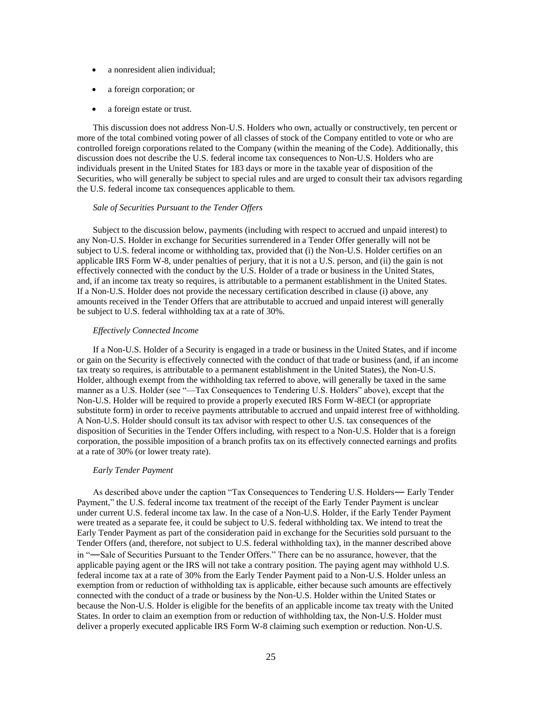- a nonresident alien individual;
- a foreign corporation; or
- a foreign estate or trust.

This discussion does not address Non-U.S. Holders who own, actually or constructively, ten percent or more of the total combined voting power of all classes of stock of the Company entitled to vote or who are controlled foreign corporations related to the Company (within the meaning of the Code). Additionally, this discussion does not describe the U.S. federal income tax consequences to Non-U.S. Holders who are individuals present in the United States for 183 days or more in the taxable year of disposition of the Securities, who will generally be subject to special rules and are urged to consult their tax advisors regarding the U.S. federal income tax consequences applicable to them.

#### *Sale of Securities Pursuant to the Tender Offers*

Subject to the discussion below, payments (including with respect to accrued and unpaid interest) to any Non-U.S. Holder in exchange for Securities surrendered in a Tender Offer generally will not be subject to U.S. federal income or withholding tax, provided that (i) the Non-U.S. Holder certifies on an applicable IRS Form W-8, under penalties of perjury, that it is not a U.S. person, and (ii) the gain is not effectively connected with the conduct by the U.S. Holder of a trade or business in the United States, and, if an income tax treaty so requires, is attributable to a permanent establishment in the United States. If a Non-U.S. Holder does not provide the necessary certification described in clause (i) above, any amounts received in the Tender Offers that are attributable to accrued and unpaid interest will generally be subject to U.S. federal withholding tax at a rate of 30%.

#### *Effectively Connected Income*

If a Non-U.S. Holder of a Security is engaged in a trade or business in the United States, and if income or gain on the Security is effectively connected with the conduct of that trade or business (and, if an income tax treaty so requires, is attributable to a permanent establishment in the United States), the Non-U.S. Holder, although exempt from the withholding tax referred to above, will generally be taxed in the same manner as a U.S. Holder (see "—Tax Consequences to Tendering U.S. Holders" above), except that the Non-U.S. Holder will be required to provide a properly executed IRS Form W-8ECI (or appropriate substitute form) in order to receive payments attributable to accrued and unpaid interest free of withholding. A Non-U.S. Holder should consult its tax advisor with respect to other U.S. tax consequences of the disposition of Securities in the Tender Offers including, with respect to a Non-U.S. Holder that is a foreign corporation, the possible imposition of a branch profits tax on its effectively connected earnings and profits at a rate of 30% (or lower treaty rate).

#### *Early Tender Payment*

As described above under the caption "Tax Consequences to Tendering U.S. Holders― Early Tender Payment," the U.S. federal income tax treatment of the receipt of the Early Tender Payment is unclear under current U.S. federal income tax law. In the case of a Non-U.S. Holder, if the Early Tender Payment were treated as a separate fee, it could be subject to U.S. federal withholding tax. We intend to treat the Early Tender Payment as part of the consideration paid in exchange for the Securities sold pursuant to the Tender Offers (and, therefore, not subject to U.S. federal withholding tax), in the manner described above in "―Sale of Securities Pursuant to the Tender Offers." There can be no assurance, however, that the applicable paying agent or the IRS will not take a contrary position. The paying agent may withhold U.S. federal income tax at a rate of 30% from the Early Tender Payment paid to a Non-U.S. Holder unless an exemption from or reduction of withholding tax is applicable, either because such amounts are effectively connected with the conduct of a trade or business by the Non-U.S. Holder within the United States or because the Non-U.S. Holder is eligible for the benefits of an applicable income tax treaty with the United States. In order to claim an exemption from or reduction of withholding tax, the Non-U.S. Holder must deliver a properly executed applicable IRS Form W-8 claiming such exemption or reduction. Non-U.S.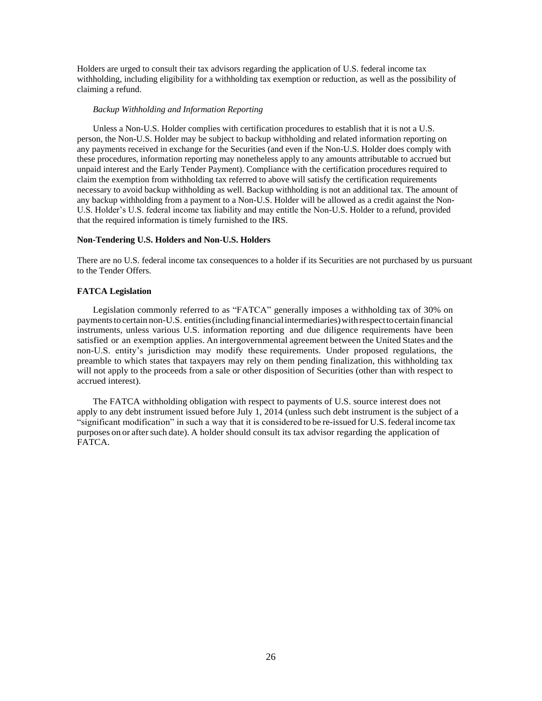Holders are urged to consult their tax advisors regarding the application of U.S. federal income tax withholding, including eligibility for a withholding tax exemption or reduction, as well as the possibility of claiming a refund.

#### *Backup Withholding and Information Reporting*

Unless a Non-U.S. Holder complies with certification procedures to establish that it is not a U.S. person, the Non-U.S. Holder may be subject to backup withholding and related information reporting on any payments received in exchange for the Securities (and even if the Non-U.S. Holder does comply with these procedures, information reporting may nonetheless apply to any amounts attributable to accrued but unpaid interest and the Early Tender Payment). Compliance with the certification procedures required to claim the exemption from withholding tax referred to above will satisfy the certification requirements necessary to avoid backup withholding as well. Backup withholding is not an additional tax. The amount of any backup withholding from a payment to a Non-U.S. Holder will be allowed as a credit against the Non-U.S. Holder's U.S. federal income tax liability and may entitle the Non-U.S. Holder to a refund, provided that the required information is timely furnished to the IRS.

#### **Non-Tendering U.S. Holders and Non-U.S. Holders**

There are no U.S. federal income tax consequences to a holder if its Securities are not purchased by us pursuant to the Tender Offers.

#### **FATCA Legislation**

Legislation commonly referred to as "FATCA" generally imposes a withholding tax of 30% on payments to certain non-U.S. entities (including financial intermediaries) with respect to certain financial instruments, unless various U.S. information reporting and due diligence requirements have been satisfied or an exemption applies. An intergovernmental agreement between the United States and the non-U.S. entity's jurisdiction may modify these requirements. Under proposed regulations, the preamble to which states that taxpayers may rely on them pending finalization, this withholding tax will not apply to the proceeds from a sale or other disposition of Securities (other than with respect to accrued interest).

The FATCA withholding obligation with respect to payments of U.S. source interest does not apply to any debt instrument issued before July 1, 2014 (unless such debt instrument is the subject of a "significant modification" in such a way that it is considered to be re-issued for U.S. federal income tax purposes on or aftersuch date). A holder should consult its tax advisor regarding the application of FATCA.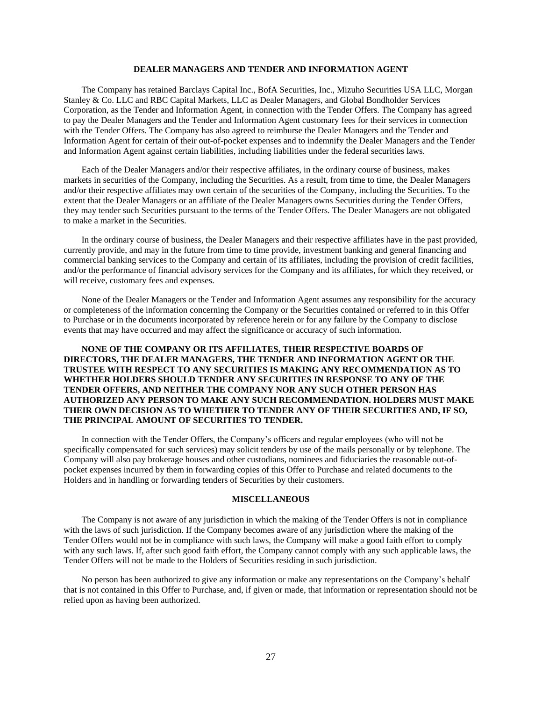## **DEALER MANAGERS AND TENDER AND INFORMATION AGENT**

<span id="page-35-0"></span>The Company has retained Barclays Capital Inc., BofA Securities, Inc., Mizuho Securities USA LLC, Morgan Stanley & Co. LLC and RBC Capital Markets, LLC as Dealer Managers, and Global Bondholder Services Corporation, as the Tender and Information Agent, in connection with the Tender Offers. The Company has agreed to pay the Dealer Managers and the Tender and Information Agent customary fees for their services in connection with the Tender Offers. The Company has also agreed to reimburse the Dealer Managers and the Tender and Information Agent for certain of their out-of-pocket expenses and to indemnify the Dealer Managers and the Tender and Information Agent against certain liabilities, including liabilities under the federal securities laws.

Each of the Dealer Managers and/or their respective affiliates, in the ordinary course of business, makes markets in securities of the Company, including the Securities. As a result, from time to time, the Dealer Managers and/or their respective affiliates may own certain of the securities of the Company, including the Securities. To the extent that the Dealer Managers or an affiliate of the Dealer Managers owns Securities during the Tender Offers, they may tender such Securities pursuant to the terms of the Tender Offers. The Dealer Managers are not obligated to make a market in the Securities.

In the ordinary course of business, the Dealer Managers and their respective affiliates have in the past provided, currently provide, and may in the future from time to time provide, investment banking and general financing and commercial banking services to the Company and certain of its affiliates, including the provision of credit facilities, and/or the performance of financial advisory services for the Company and its affiliates, for which they received, or will receive, customary fees and expenses.

None of the Dealer Managers or the Tender and Information Agent assumes any responsibility for the accuracy or completeness of the information concerning the Company or the Securities contained or referred to in this Offer to Purchase or in the documents incorporated by reference herein or for any failure by the Company to disclose events that may have occurred and may affect the significance or accuracy of such information.

## **NONE OF THE COMPANY OR ITS AFFILIATES, THEIR RESPECTIVE BOARDS OF DIRECTORS, THE DEALER MANAGERS, THE TENDER AND INFORMATION AGENT OR THE TRUSTEE WITH RESPECT TO ANY SECURITIES IS MAKING ANY RECOMMENDATION AS TO WHETHER HOLDERS SHOULD TENDER ANY SECURITIES IN RESPONSE TO ANY OF THE TENDER OFFERS, AND NEITHER THE COMPANY NOR ANY SUCH OTHER PERSON HAS AUTHORIZED ANY PERSON TO MAKE ANY SUCH RECOMMENDATION. HOLDERS MUST MAKE THEIR OWN DECISION AS TO WHETHER TO TENDER ANY OF THEIR SECURITIES AND, IF SO, THE PRINCIPAL AMOUNT OF SECURITIES TO TENDER.**

In connection with the Tender Offers, the Company's officers and regular employees (who will not be specifically compensated for such services) may solicit tenders by use of the mails personally or by telephone. The Company will also pay brokerage houses and other custodians, nominees and fiduciaries the reasonable out-ofpocket expenses incurred by them in forwarding copies of this Offer to Purchase and related documents to the Holders and in handling or forwarding tenders of Securities by their customers.

## **MISCELLANEOUS**

<span id="page-35-1"></span>The Company is not aware of any jurisdiction in which the making of the Tender Offers is not in compliance with the laws of such jurisdiction. If the Company becomes aware of any jurisdiction where the making of the Tender Offers would not be in compliance with such laws, the Company will make a good faith effort to comply with any such laws. If, after such good faith effort, the Company cannot comply with any such applicable laws, the Tender Offers will not be made to the Holders of Securities residing in such jurisdiction.

No person has been authorized to give any information or make any representations on the Company's behalf that is not contained in this Offer to Purchase, and, if given or made, that information or representation should not be relied upon as having been authorized.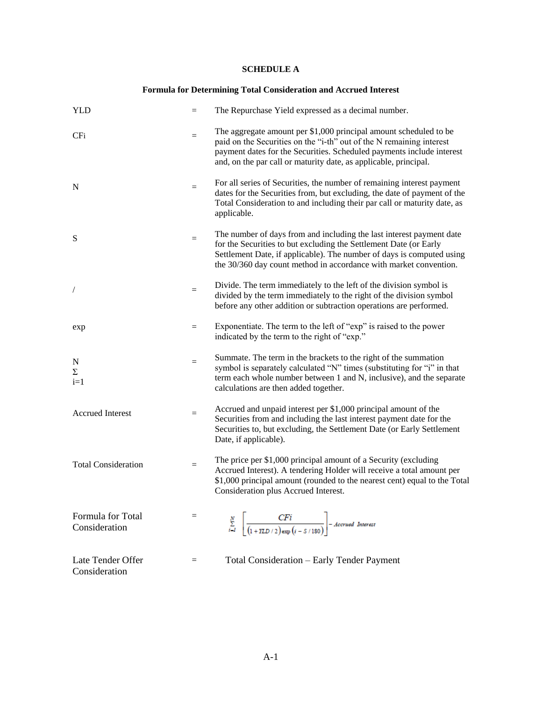## <span id="page-36-0"></span>**SCHEDULE A**

## **Formula for Determining Total Consideration and Accrued Interest**

| <b>YLD</b>                         | $=$ | The Repurchase Yield expressed as a decimal number.                                                                                                                                                                                                                                     |
|------------------------------------|-----|-----------------------------------------------------------------------------------------------------------------------------------------------------------------------------------------------------------------------------------------------------------------------------------------|
| CF <sub>i</sub>                    | $=$ | The aggregate amount per \$1,000 principal amount scheduled to be<br>paid on the Securities on the "i-th" out of the N remaining interest<br>payment dates for the Securities. Scheduled payments include interest<br>and, on the par call or maturity date, as applicable, principal.  |
| N                                  | $=$ | For all series of Securities, the number of remaining interest payment<br>dates for the Securities from, but excluding, the date of payment of the<br>Total Consideration to and including their par call or maturity date, as<br>applicable.                                           |
| S                                  | $=$ | The number of days from and including the last interest payment date<br>for the Securities to but excluding the Settlement Date (or Early<br>Settlement Date, if applicable). The number of days is computed using<br>the 30/360 day count method in accordance with market convention. |
|                                    | $=$ | Divide. The term immediately to the left of the division symbol is<br>divided by the term immediately to the right of the division symbol<br>before any other addition or subtraction operations are performed.                                                                         |
| exp                                | $=$ | Exponentiate. The term to the left of "exp" is raised to the power<br>indicated by the term to the right of "exp."                                                                                                                                                                      |
| N<br>Σ<br>$i=1$                    | $=$ | Summate. The term in the brackets to the right of the summation<br>symbol is separately calculated "N" times (substituting for "i" in that<br>term each whole number between 1 and N, inclusive), and the separate<br>calculations are then added together.                             |
| <b>Accrued Interest</b>            | $=$ | Accrued and unpaid interest per \$1,000 principal amount of the<br>Securities from and including the last interest payment date for the<br>Securities to, but excluding, the Settlement Date (or Early Settlement<br>Date, if applicable).                                              |
| <b>Total Consideration</b>         | $=$ | The price per \$1,000 principal amount of a Security (excluding<br>Accrued Interest). A tendering Holder will receive a total amount per<br>\$1,000 principal amount (rounded to the nearest cent) equal to the Total<br>Consideration plus Accrued Interest.                           |
| Formula for Total<br>Consideration | $=$ | $\sum_{i=1}^{N} \left  \frac{CFi}{(1+YLD/2) \exp(i-S/180)} \right $ - Accrued Interest                                                                                                                                                                                                  |
| Late Tender Offer<br>Consideration | $=$ | Total Consideration - Early Tender Payment                                                                                                                                                                                                                                              |